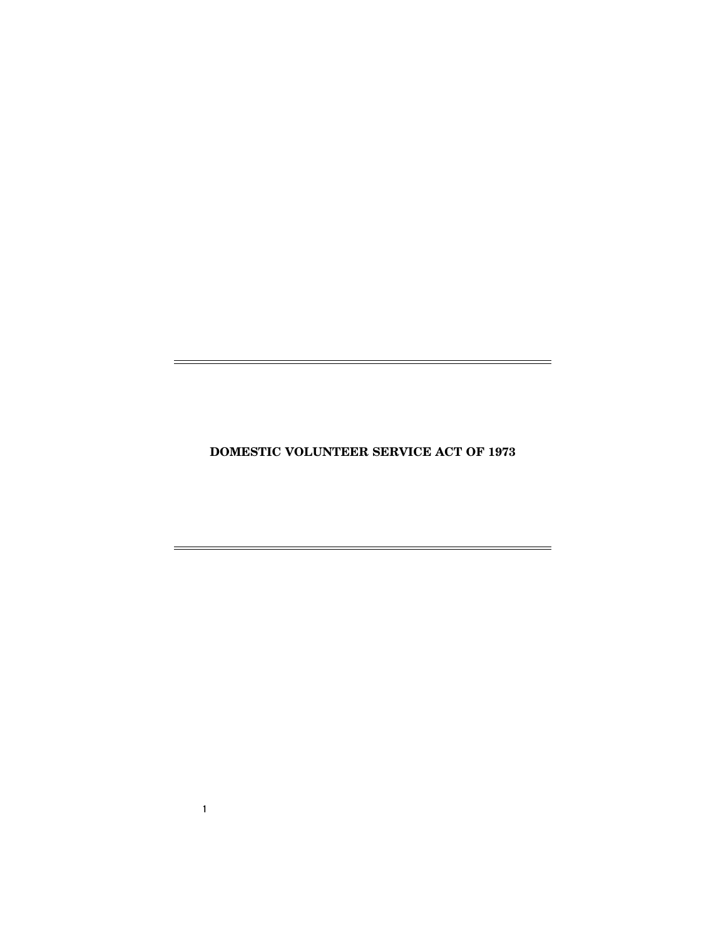**DOMESTIC VOLUNTEER SERVICE ACT OF 1973** 

 $=$ 

 $=$ 

**1** 

 $\equiv$ 

 $\equiv$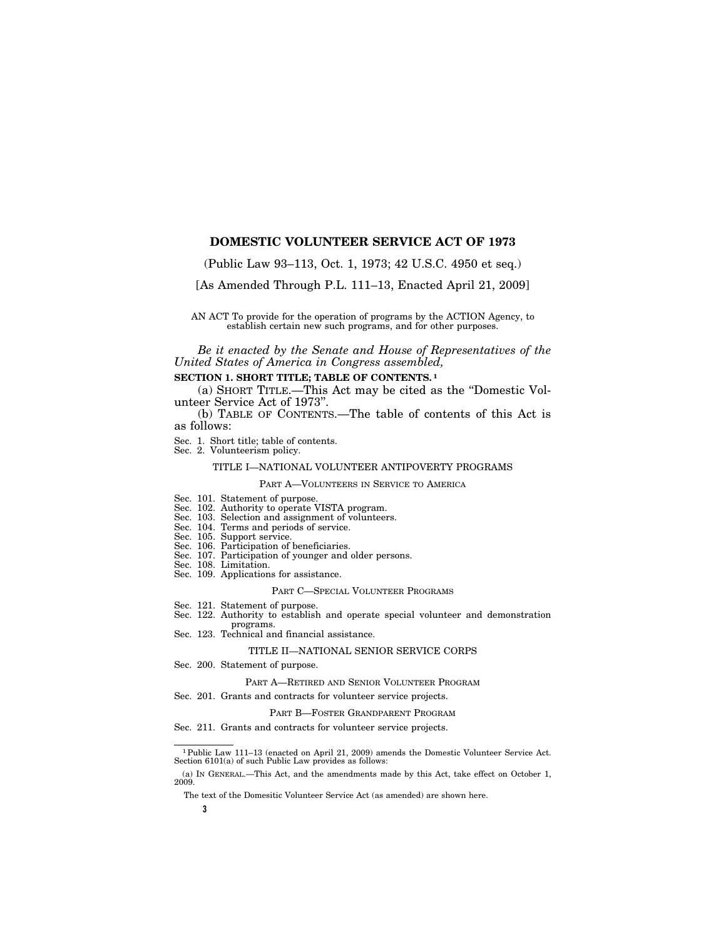# **DOMESTIC VOLUNTEER SERVICE ACT OF 1973**

(Public Law 93–113, Oct. 1, 1973; 42 U.S.C. 4950 et seq.)

[As Amended Through P.L. 111–13, Enacted April 21, 2009]

AN ACT To provide for the operation of programs by the ACTION Agency, to establish certain new such programs, and for other purposes.

*Be it enacted by the Senate and House of Representatives of the United States of America in Congress assembled,* 

## **SECTION 1. SHORT TITLE; TABLE OF CONTENTS. 1**

(a) SHORT TITLE.—This Act may be cited as the ''Domestic Volunteer Service Act of 1973''.

(b) TABLE OF CONTENTS.—The table of contents of this Act is as follows:

Sec. 1. Short title; table of contents.

Sec. 2. Volunteerism policy.

# TITLE I—NATIONAL VOLUNTEER ANTIPOVERTY PROGRAMS

PART A—VOLUNTEERS IN SERVICE TO AMERICA

- Sec. 101. Statement of purpose.
- Sec. 102. Authority to operate VISTA program.
- Sec. 103. Selection and assignment of volunteers.
- Sec. 104. Terms and periods of service.
- Sec. 105. Support service.
- Sec. 106. Participation of beneficiaries.
- Sec. 107. Participation of younger and older persons. Sec. 108. Limitation.
- Sec. 109. Applications for assistance.
- 

### PART C—SPECIAL VOLUNTEER PROGRAMS

- Sec. 121. Statement of purpose.
- Sec. 122. Authority to establish and operate special volunteer and demonstration
- programs. Sec. 123. Technical and financial assistance.

### TITLE II—NATIONAL SENIOR SERVICE CORPS

Sec. 200. Statement of purpose.

PART A—RETIRED AND SENIOR VOLUNTEER PROGRAM

Sec. 201. Grants and contracts for volunteer service projects.

### PART B—FOSTER GRANDPARENT PROGRAM

Sec. 211. Grants and contracts for volunteer service projects.

<sup>1</sup> Public Law 111–13 (enacted on April 21, 2009) amends the Domestic Volunteer Service Act. Section 6101(a) of such Public Law provides as follows:

The text of the Domesitic Volunteer Service Act (as amended) are shown here.

<sup>(</sup>a) IN GENERAL.—This Act, and the amendments made by this Act, take effect on October 1, 2009.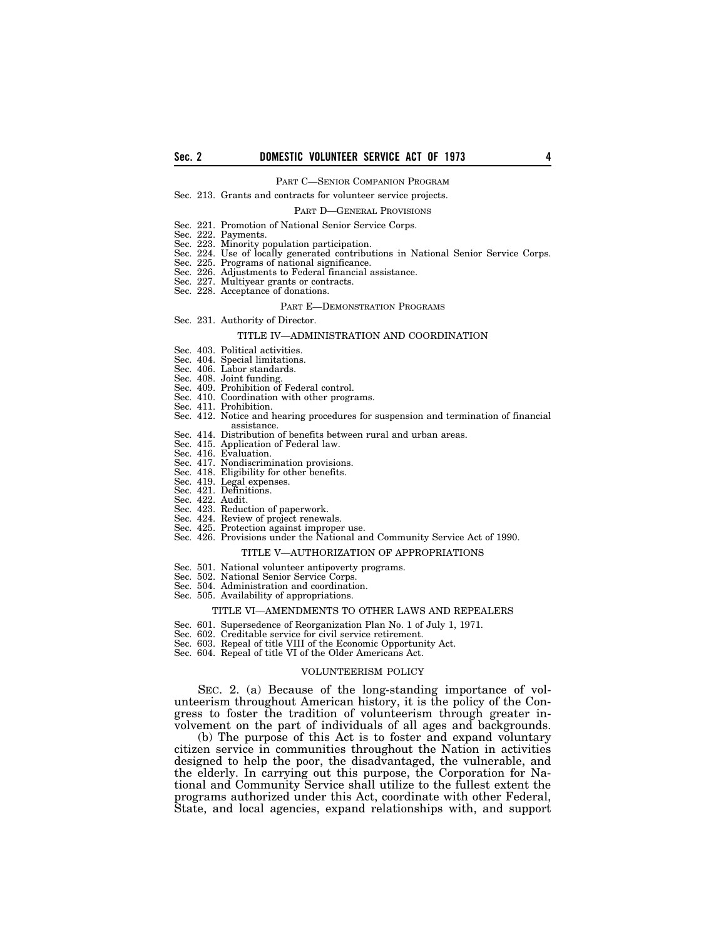#### PART C—SENIOR COMPANION PROGRAM

### Sec. 213. Grants and contracts for volunteer service projects.

#### PART D—GENERAL PROVISIONS

- Sec. 221. Promotion of National Senior Service Corps.<br>Sec. 222. Payments.
- Sec. 222. Payments.<br>Sec. 223. Minority p
- Sec. 223. Minority population participation.<br>Sec. 224. Use of locally generated contribu
- Use of locally generated contributions in National Senior Service Corps.
- Sec. 225. Programs of national significance.
- Sec. 226. Adjustments to Federal financial assistance.
- Sec. 227. Multiyear grants or contracts.
- Sec. 228. Acceptance of donations.

#### PART E—DEMONSTRATION PROGRAMS

Sec. 231. Authority of Director.

### TITLE IV—ADMINISTRATION AND COORDINATION

- Sec. 403. Political activities.
- Sec. 404. Special limitations.
- Sec. 406. Labor standards.
- 
- Sec. 408. Joint funding. Sec. 409. Prohibition of Federal control.
- Sec. 410. Coordination with other programs.
- Sec. 411. Prohibition.
- Sec. 412. Notice and hearing procedures for suspension and termination of financial assistance.
- Sec. 414. Distribution of benefits between rural and urban areas.
- Sec. 415. Application of Federal law.
- 
- Sec. 416. Evaluation.<br>Sec. 417. Nondiscrimination provisions. Sec. 417. Nondiscrimination provisions. Sec. 418. Eligibility for other benefits.
- 
- Sec. 419. Legal expenses. Sec. 421. Definitions.
- Sec. 422. Audit.
- 
- Sec. 423. Reduction of paperwork. Sec. 424. Review of project renewals.
- Sec. 425. Protection against improper use.
- Sec. 426. Provisions under the National and Community Service Act of 1990.

#### TITLE V—AUTHORIZATION OF APPROPRIATIONS

- Sec. 501. National volunteer antipoverty programs.
- Sec. 502. National Senior Service Corps.
- Sec. 504. Administration and coordination.
- Sec. 505. Availability of appropriations.

### TITLE VI—AMENDMENTS TO OTHER LAWS AND REPEALERS

- Sec. 601. Supersedence of Reorganization Plan No. 1 of July 1, 1971.
- Sec. 602. Creditable service for civil service retirement.
- Sec. 603. Repeal of title VIII of the Economic Opportunity Act.
- Sec. 604. Repeal of title VI of the Older Americans Act.

#### VOLUNTEERISM POLICY

SEC. 2. (a) Because of the long-standing importance of volunteerism throughout American history, it is the policy of the Congress to foster the tradition of volunteerism through greater involvement on the part of individuals of all ages and backgrounds.

(b) The purpose of this Act is to foster and expand voluntary citizen service in communities throughout the Nation in activities designed to help the poor, the disadvantaged, the vulnerable, and the elderly. In carrying out this purpose, the Corporation for National and Community Service shall utilize to the fullest extent the programs authorized under this Act, coordinate with other Federal, State, and local agencies, expand relationships with, and support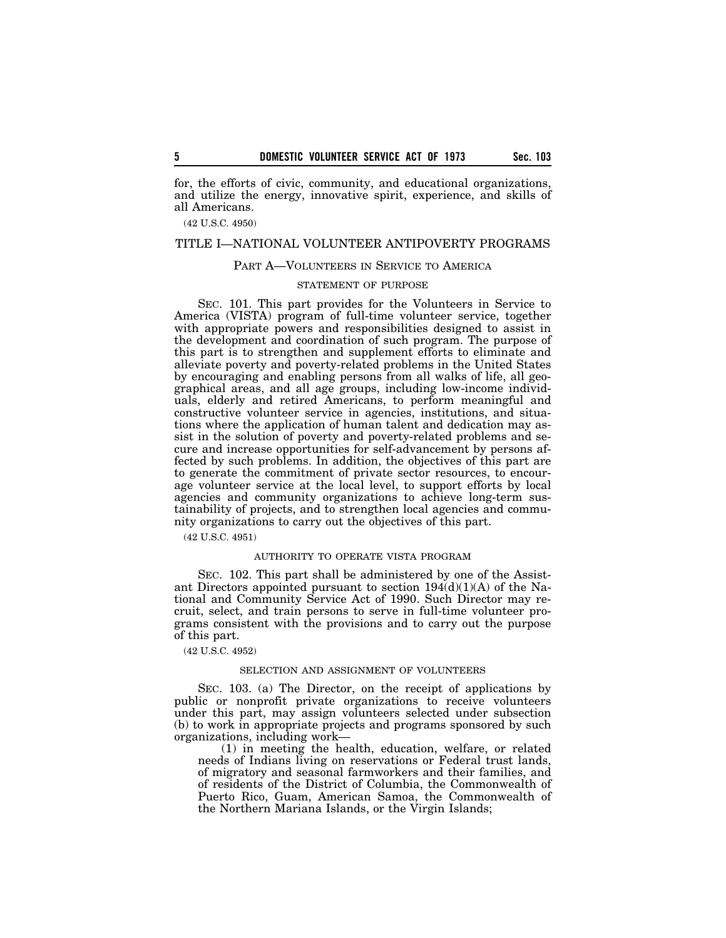for, the efforts of civic, community, and educational organizations, and utilize the energy, innovative spirit, experience, and skills of all Americans.

(42 U.S.C. 4950)

## TITLE I—NATIONAL VOLUNTEER ANTIPOVERTY PROGRAMS

## PART A—VOLUNTEERS IN SERVICE TO AMERICA

### STATEMENT OF PURPOSE

SEC. 101. This part provides for the Volunteers in Service to America (VISTA) program of full-time volunteer service, together with appropriate powers and responsibilities designed to assist in the development and coordination of such program. The purpose of this part is to strengthen and supplement efforts to eliminate and alleviate poverty and poverty-related problems in the United States by encouraging and enabling persons from all walks of life, all geographical areas, and all age groups, including low-income individuals, elderly and retired Americans, to perform meaningful and constructive volunteer service in agencies, institutions, and situations where the application of human talent and dedication may assist in the solution of poverty and poverty-related problems and secure and increase opportunities for self-advancement by persons affected by such problems. In addition, the objectives of this part are to generate the commitment of private sector resources, to encourage volunteer service at the local level, to support efforts by local agencies and community organizations to achieve long-term sustainability of projects, and to strengthen local agencies and community organizations to carry out the objectives of this part.

(42 U.S.C. 4951)

### AUTHORITY TO OPERATE VISTA PROGRAM

SEC. 102. This part shall be administered by one of the Assistant Directors appointed pursuant to section  $194(d)(1)(A)$  of the National and Community Service Act of 1990. Such Director may recruit, select, and train persons to serve in full-time volunteer programs consistent with the provisions and to carry out the purpose of this part.

(42 U.S.C. 4952)

### SELECTION AND ASSIGNMENT OF VOLUNTEERS

SEC. 103. (a) The Director, on the receipt of applications by public or nonprofit private organizations to receive volunteers under this part, may assign volunteers selected under subsection (b) to work in appropriate projects and programs sponsored by such organizations, including work—

(1) in meeting the health, education, welfare, or related needs of Indians living on reservations or Federal trust lands, of migratory and seasonal farmworkers and their families, and of residents of the District of Columbia, the Commonwealth of Puerto Rico, Guam, American Samoa, the Commonwealth of the Northern Mariana Islands, or the Virgin Islands;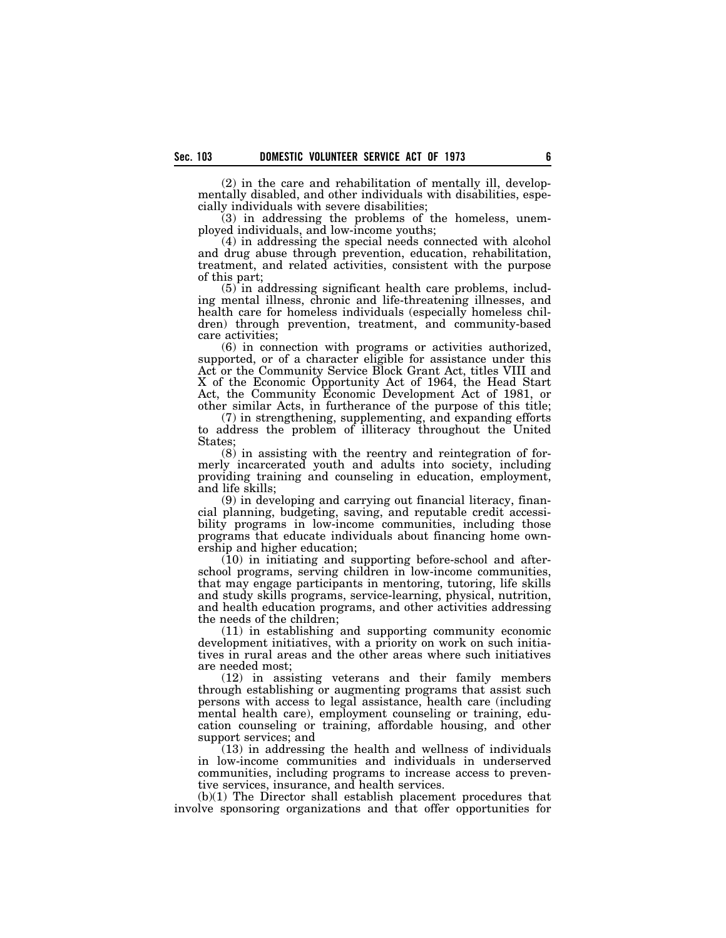(2) in the care and rehabilitation of mentally ill, developmentally disabled, and other individuals with disabilities, especially individuals with severe disabilities;

(3) in addressing the problems of the homeless, unemployed individuals, and low-income youths;

(4) in addressing the special needs connected with alcohol and drug abuse through prevention, education, rehabilitation, treatment, and related activities, consistent with the purpose of this part;

(5) in addressing significant health care problems, including mental illness, chronic and life-threatening illnesses, and health care for homeless individuals (especially homeless children) through prevention, treatment, and community-based care activities;

(6) in connection with programs or activities authorized, supported, or of a character eligible for assistance under this Act or the Community Service Block Grant Act, titles VIII and X of the Economic Opportunity Act of 1964, the Head Start Act, the Community Economic Development Act of 1981, or other similar Acts, in furtherance of the purpose of this title;

(7) in strengthening, supplementing, and expanding efforts to address the problem of illiteracy throughout the United States;

(8) in assisting with the reentry and reintegration of formerly incarcerated youth and adults into society, including providing training and counseling in education, employment, and life skills;

(9) in developing and carrying out financial literacy, financial planning, budgeting, saving, and reputable credit accessibility programs in low-income communities, including those programs that educate individuals about financing home ownership and higher education;

(10) in initiating and supporting before-school and afterschool programs, serving children in low-income communities, that may engage participants in mentoring, tutoring, life skills and study skills programs, service-learning, physical, nutrition, and health education programs, and other activities addressing the needs of the children;

(11) in establishing and supporting community economic development initiatives, with a priority on work on such initiatives in rural areas and the other areas where such initiatives are needed most;

(12) in assisting veterans and their family members through establishing or augmenting programs that assist such persons with access to legal assistance, health care (including mental health care), employment counseling or training, education counseling or training, affordable housing, and other support services; and

(13) in addressing the health and wellness of individuals in low-income communities and individuals in underserved communities, including programs to increase access to preventive services, insurance, and health services.

(b)(1) The Director shall establish placement procedures that involve sponsoring organizations and that offer opportunities for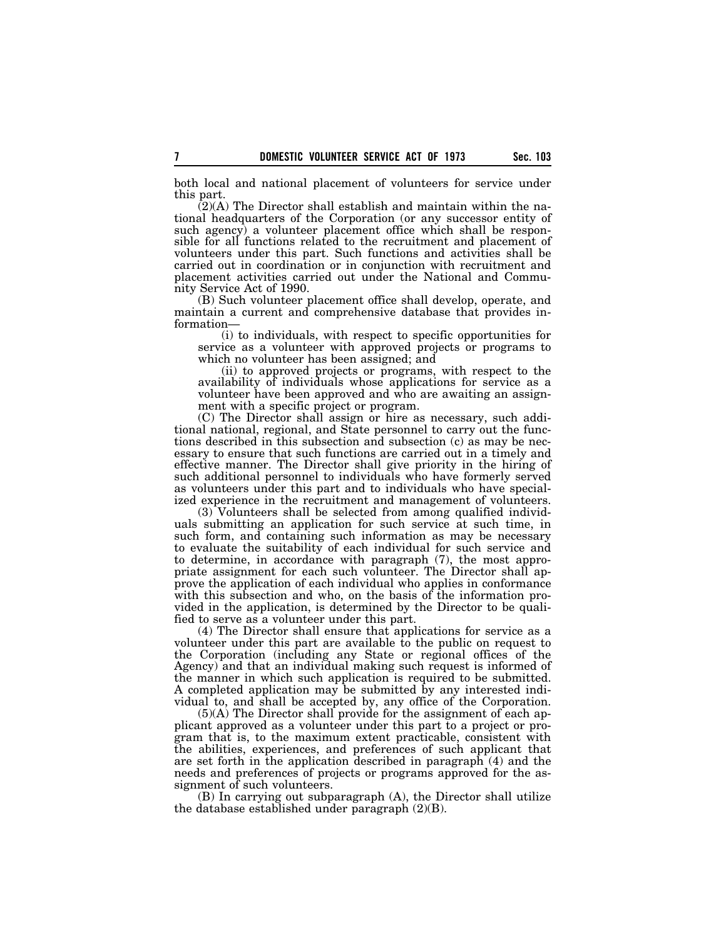both local and national placement of volunteers for service under this part.

(2)(A) The Director shall establish and maintain within the national headquarters of the Corporation (or any successor entity of such agency) a volunteer placement office which shall be responsible for all functions related to the recruitment and placement of volunteers under this part. Such functions and activities shall be carried out in coordination or in conjunction with recruitment and placement activities carried out under the National and Community Service Act of 1990.

(B) Such volunteer placement office shall develop, operate, and maintain a current and comprehensive database that provides information—

(i) to individuals, with respect to specific opportunities for service as a volunteer with approved projects or programs to which no volunteer has been assigned; and

(ii) to approved projects or programs, with respect to the availability of individuals whose applications for service as a volunteer have been approved and who are awaiting an assignment with a specific project or program.

(C) The Director shall assign or hire as necessary, such additional national, regional, and State personnel to carry out the functions described in this subsection and subsection (c) as may be necessary to ensure that such functions are carried out in a timely and effective manner. The Director shall give priority in the hiring of such additional personnel to individuals who have formerly served as volunteers under this part and to individuals who have specialized experience in the recruitment and management of volunteers.

(3) Volunteers shall be selected from among qualified individuals submitting an application for such service at such time, in such form, and containing such information as may be necessary to evaluate the suitability of each individual for such service and to determine, in accordance with paragraph (7), the most appropriate assignment for each such volunteer. The Director shall approve the application of each individual who applies in conformance with this subsection and who, on the basis of the information provided in the application, is determined by the Director to be qualified to serve as a volunteer under this part.

(4) The Director shall ensure that applications for service as a volunteer under this part are available to the public on request to the Corporation (including any State or regional offices of the Agency) and that an individual making such request is informed of the manner in which such application is required to be submitted. A completed application may be submitted by any interested individual to, and shall be accepted by, any office of the Corporation.

(5)(A) The Director shall provide for the assignment of each applicant approved as a volunteer under this part to a project or program that is, to the maximum extent practicable, consistent with the abilities, experiences, and preferences of such applicant that are set forth in the application described in paragraph (4) and the needs and preferences of projects or programs approved for the assignment of such volunteers.

(B) In carrying out subparagraph (A), the Director shall utilize the database established under paragraph (2)(B).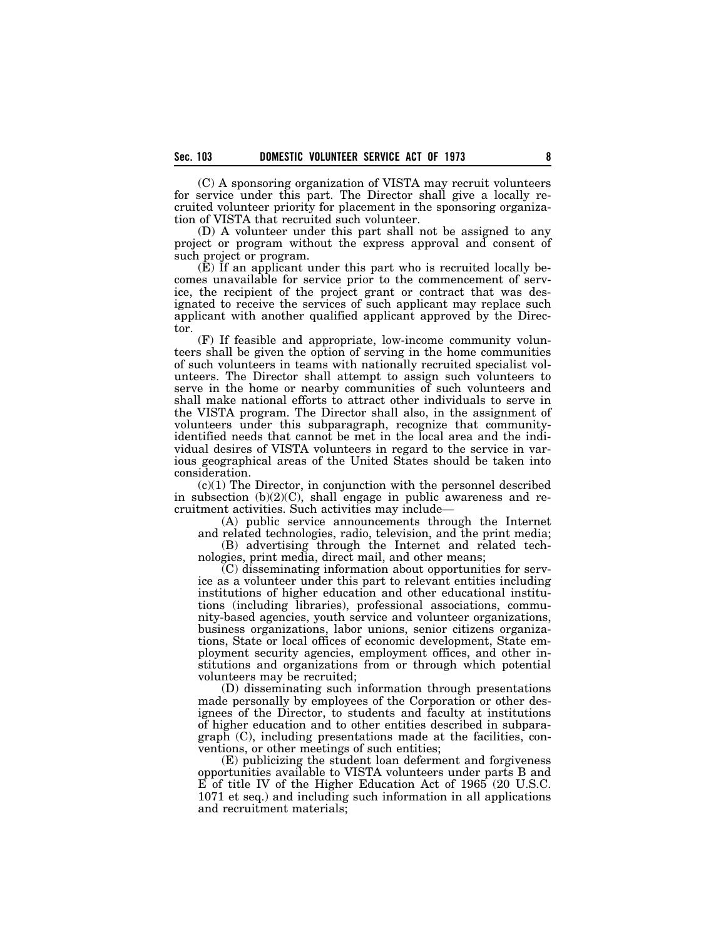(C) A sponsoring organization of VISTA may recruit volunteers for service under this part. The Director shall give a locally recruited volunteer priority for placement in the sponsoring organization of VISTA that recruited such volunteer.

(D) A volunteer under this part shall not be assigned to any project or program without the express approval and consent of such project or program.

(E) If an applicant under this part who is recruited locally becomes unavailable for service prior to the commencement of service, the recipient of the project grant or contract that was designated to receive the services of such applicant may replace such applicant with another qualified applicant approved by the Director.

(F) If feasible and appropriate, low-income community volunteers shall be given the option of serving in the home communities of such volunteers in teams with nationally recruited specialist volunteers. The Director shall attempt to assign such volunteers to serve in the home or nearby communities of such volunteers and shall make national efforts to attract other individuals to serve in the VISTA program. The Director shall also, in the assignment of volunteers under this subparagraph, recognize that communityidentified needs that cannot be met in the local area and the individual desires of VISTA volunteers in regard to the service in various geographical areas of the United States should be taken into consideration.

(c)(1) The Director, in conjunction with the personnel described in subsection (b)(2)(C), shall engage in public awareness and recruitment activities. Such activities may include—

(A) public service announcements through the Internet and related technologies, radio, television, and the print media;

(B) advertising through the Internet and related technologies, print media, direct mail, and other means;

(C) disseminating information about opportunities for service as a volunteer under this part to relevant entities including institutions of higher education and other educational institutions (including libraries), professional associations, community-based agencies, youth service and volunteer organizations, business organizations, labor unions, senior citizens organizations, State or local offices of economic development, State employment security agencies, employment offices, and other institutions and organizations from or through which potential volunteers may be recruited;

(D) disseminating such information through presentations made personally by employees of the Corporation or other designees of the Director, to students and faculty at institutions of higher education and to other entities described in subparagraph (C), including presentations made at the facilities, conventions, or other meetings of such entities;

(E) publicizing the student loan deferment and forgiveness opportunities available to VISTA volunteers under parts B and E of title IV of the Higher Education Act of 1965 (20 U.S.C. 1071 et seq.) and including such information in all applications and recruitment materials;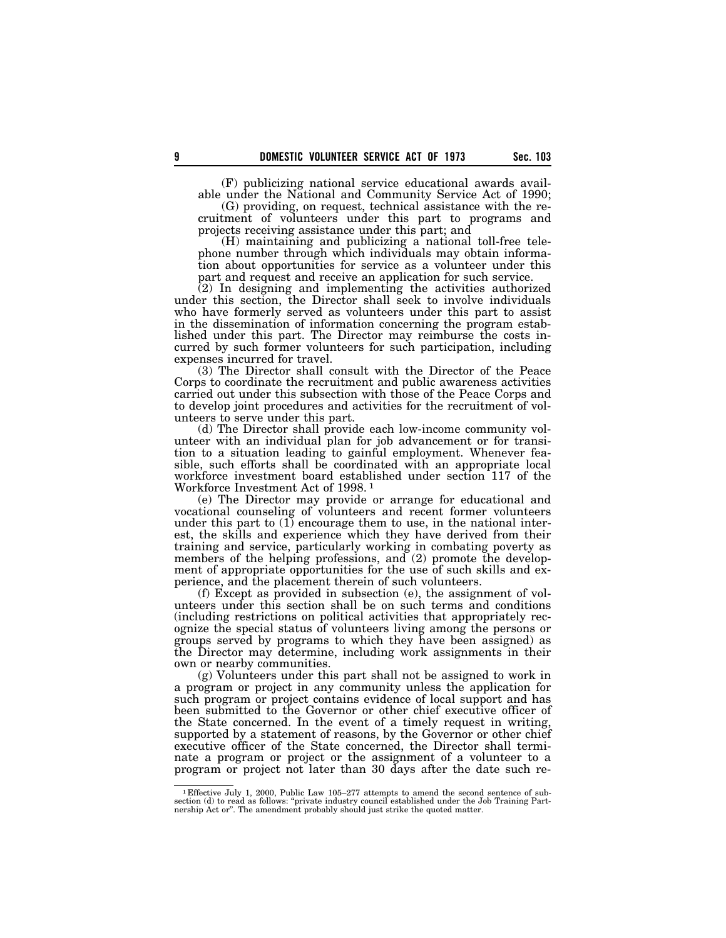(F) publicizing national service educational awards available under the National and Community Service Act of 1990;

(G) providing, on request, technical assistance with the recruitment of volunteers under this part to programs and projects receiving assistance under this part; and

(H) maintaining and publicizing a national toll-free telephone number through which individuals may obtain information about opportunities for service as a volunteer under this part and request and receive an application for such service.

(2) In designing and implementing the activities authorized under this section, the Director shall seek to involve individuals who have formerly served as volunteers under this part to assist in the dissemination of information concerning the program established under this part. The Director may reimburse the costs incurred by such former volunteers for such participation, including expenses incurred for travel.

(3) The Director shall consult with the Director of the Peace Corps to coordinate the recruitment and public awareness activities carried out under this subsection with those of the Peace Corps and to develop joint procedures and activities for the recruitment of volunteers to serve under this part.

(d) The Director shall provide each low-income community volunteer with an individual plan for job advancement or for transition to a situation leading to gainful employment. Whenever feasible, such efforts shall be coordinated with an appropriate local workforce investment board established under section 117 of the Workforce Investment Act of 1998. 1

(e) The Director may provide or arrange for educational and vocational counseling of volunteers and recent former volunteers under this part to  $(1)$  encourage them to use, in the national interest, the skills and experience which they have derived from their training and service, particularly working in combating poverty as members of the helping professions, and (2) promote the development of appropriate opportunities for the use of such skills and experience, and the placement therein of such volunteers.

(f) Except as provided in subsection (e), the assignment of volunteers under this section shall be on such terms and conditions (including restrictions on political activities that appropriately recognize the special status of volunteers living among the persons or groups served by programs to which they have been assigned) as the Director may determine, including work assignments in their own or nearby communities.

(g) Volunteers under this part shall not be assigned to work in a program or project in any community unless the application for such program or project contains evidence of local support and has been submitted to the Governor or other chief executive officer of the State concerned. In the event of a timely request in writing, supported by a statement of reasons, by the Governor or other chief executive officer of the State concerned, the Director shall terminate a program or project or the assignment of a volunteer to a program or project not later than 30 days after the date such re-

<sup>&</sup>lt;sup>1</sup> Effective July 1, 2000, Public Law  $105-277$  attempts to amend the second sentence of subsection (d) to read as follows: "private industry council established under the Job Training Partnership Act or". The amendment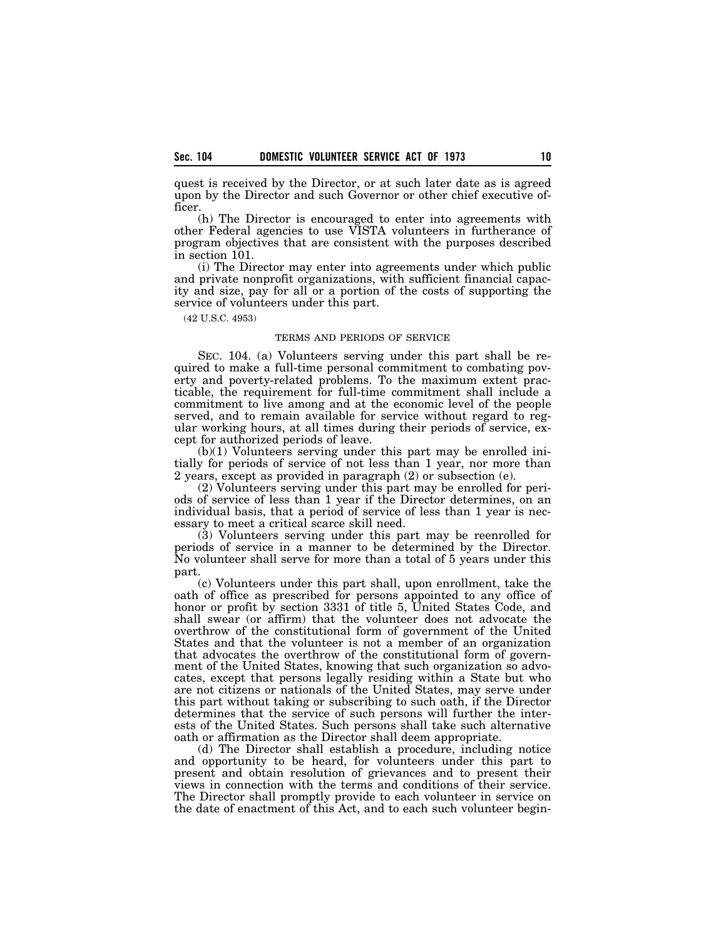quest is received by the Director, or at such later date as is agreed upon by the Director and such Governor or other chief executive officer.

(h) The Director is encouraged to enter into agreements with other Federal agencies to use VISTA volunteers in furtherance of program objectives that are consistent with the purposes described in section 101.

(i) The Director may enter into agreements under which public and private nonprofit organizations, with sufficient financial capacity and size, pay for all or a portion of the costs of supporting the service of volunteers under this part.

(42 U.S.C. 4953)

## TERMS AND PERIODS OF SERVICE

SEC. 104. (a) Volunteers serving under this part shall be required to make a full-time personal commitment to combating poverty and poverty-related problems. To the maximum extent practicable, the requirement for full-time commitment shall include a commitment to live among and at the economic level of the people served, and to remain available for service without regard to regular working hours, at all times during their periods of service, except for authorized periods of leave.

(b)(1) Volunteers serving under this part may be enrolled initially for periods of service of not less than 1 year, nor more than 2 years, except as provided in paragraph (2) or subsection (e).

(2) Volunteers serving under this part may be enrolled for periods of service of less than 1 year if the Director determines, on an individual basis, that a period of service of less than 1 year is necessary to meet a critical scarce skill need.

(3) Volunteers serving under this part may be reenrolled for periods of service in a manner to be determined by the Director. No volunteer shall serve for more than a total of 5 years under this part.

(c) Volunteers under this part shall, upon enrollment, take the oath of office as prescribed for persons appointed to any office of honor or profit by section 3331 of title 5, United States Code, and shall swear (or affirm) that the volunteer does not advocate the overthrow of the constitutional form of government of the United States and that the volunteer is not a member of an organization that advocates the overthrow of the constitutional form of government of the United States, knowing that such organization so advocates, except that persons legally residing within a State but who are not citizens or nationals of the United States, may serve under this part without taking or subscribing to such oath, if the Director determines that the service of such persons will further the interests of the United States. Such persons shall take such alternative oath or affirmation as the Director shall deem appropriate.

(d) The Director shall establish a procedure, including notice and opportunity to be heard, for volunteers under this part to present and obtain resolution of grievances and to present their views in connection with the terms and conditions of their service. The Director shall promptly provide to each volunteer in service on the date of enactment of this Act, and to each such volunteer begin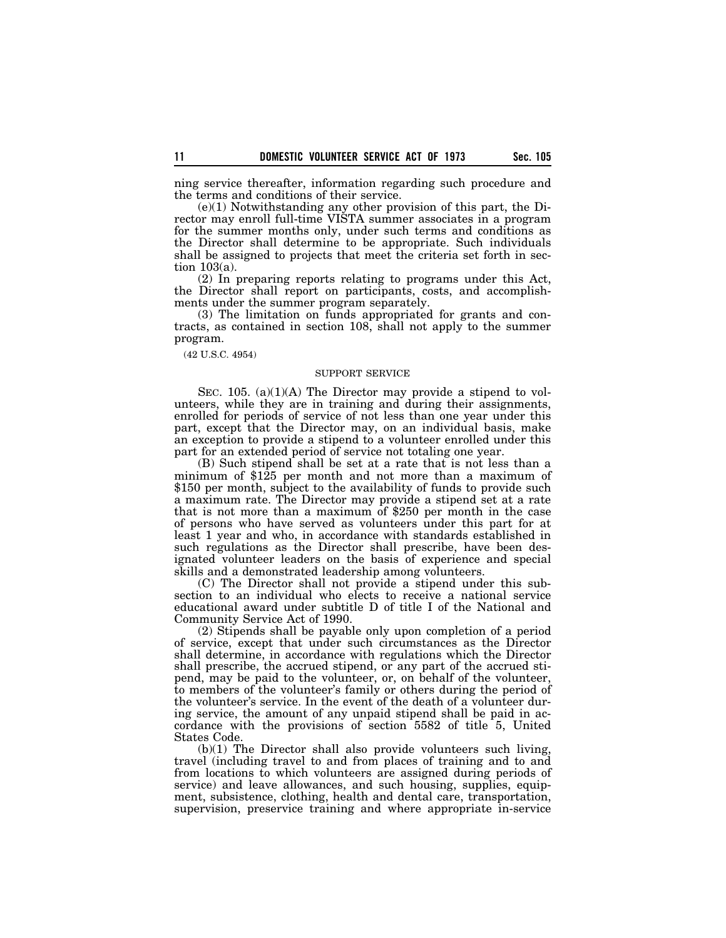ning service thereafter, information regarding such procedure and the terms and conditions of their service.

(e)(1) Notwithstanding any other provision of this part, the Director may enroll full-time VISTA summer associates in a program for the summer months only, under such terms and conditions as the Director shall determine to be appropriate. Such individuals shall be assigned to projects that meet the criteria set forth in section 103(a).

(2) In preparing reports relating to programs under this Act, the Director shall report on participants, costs, and accomplishments under the summer program separately.

(3) The limitation on funds appropriated for grants and contracts, as contained in section 108, shall not apply to the summer program.

(42 U.S.C. 4954)

## SUPPORT SERVICE

SEC. 105. (a)(1)(A) The Director may provide a stipend to volunteers, while they are in training and during their assignments, enrolled for periods of service of not less than one year under this part, except that the Director may, on an individual basis, make an exception to provide a stipend to a volunteer enrolled under this part for an extended period of service not totaling one year.

(B) Such stipend shall be set at a rate that is not less than a minimum of \$125 per month and not more than a maximum of \$150 per month, subject to the availability of funds to provide such a maximum rate. The Director may provide a stipend set at a rate that is not more than a maximum of \$250 per month in the case of persons who have served as volunteers under this part for at least 1 year and who, in accordance with standards established in such regulations as the Director shall prescribe, have been designated volunteer leaders on the basis of experience and special skills and a demonstrated leadership among volunteers.

(C) The Director shall not provide a stipend under this subsection to an individual who elects to receive a national service educational award under subtitle D of title I of the National and Community Service Act of 1990.

(2) Stipends shall be payable only upon completion of a period of service, except that under such circumstances as the Director shall determine, in accordance with regulations which the Director shall prescribe, the accrued stipend, or any part of the accrued stipend, may be paid to the volunteer, or, on behalf of the volunteer, to members of the volunteer's family or others during the period of the volunteer's service. In the event of the death of a volunteer during service, the amount of any unpaid stipend shall be paid in accordance with the provisions of section 5582 of title 5, United States Code.

(b)(1) The Director shall also provide volunteers such living, travel (including travel to and from places of training and to and from locations to which volunteers are assigned during periods of service) and leave allowances, and such housing, supplies, equipment, subsistence, clothing, health and dental care, transportation, supervision, preservice training and where appropriate in-service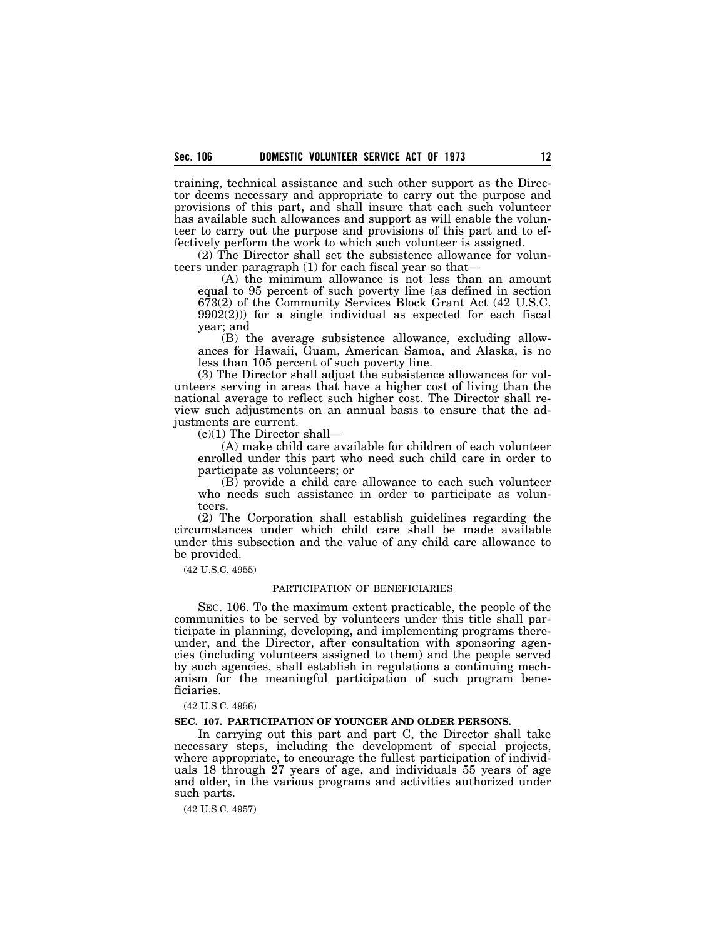training, technical assistance and such other support as the Director deems necessary and appropriate to carry out the purpose and provisions of this part, and shall insure that each such volunteer has available such allowances and support as will enable the volunteer to carry out the purpose and provisions of this part and to effectively perform the work to which such volunteer is assigned.

(2) The Director shall set the subsistence allowance for volunteers under paragraph (1) for each fiscal year so that—

(A) the minimum allowance is not less than an amount equal to 95 percent of such poverty line (as defined in section 673(2) of the Community Services Block Grant Act (42 U.S.C.  $9902(2)$ ) for a single individual as expected for each fiscal year; and

(B) the average subsistence allowance, excluding allowances for Hawaii, Guam, American Samoa, and Alaska, is no less than 105 percent of such poverty line.

(3) The Director shall adjust the subsistence allowances for volunteers serving in areas that have a higher cost of living than the national average to reflect such higher cost. The Director shall review such adjustments on an annual basis to ensure that the adjustments are current.

 $(c)(1)$  The Director shall—

(A) make child care available for children of each volunteer enrolled under this part who need such child care in order to participate as volunteers; or

(B) provide a child care allowance to each such volunteer who needs such assistance in order to participate as volunteers.

(2) The Corporation shall establish guidelines regarding the circumstances under which child care shall be made available under this subsection and the value of any child care allowance to be provided.

(42 U.S.C. 4955)

### PARTICIPATION OF BENEFICIARIES

SEC. 106. To the maximum extent practicable, the people of the communities to be served by volunteers under this title shall participate in planning, developing, and implementing programs thereunder, and the Director, after consultation with sponsoring agencies (including volunteers assigned to them) and the people served by such agencies, shall establish in regulations a continuing mechanism for the meaningful participation of such program beneficiaries.

#### (42 U.S.C. 4956)

## **SEC. 107. PARTICIPATION OF YOUNGER AND OLDER PERSONS.**

In carrying out this part and part C, the Director shall take necessary steps, including the development of special projects, where appropriate, to encourage the fullest participation of individuals 18 through 27 years of age, and individuals 55 years of age and older, in the various programs and activities authorized under such parts.

(42 U.S.C. 4957)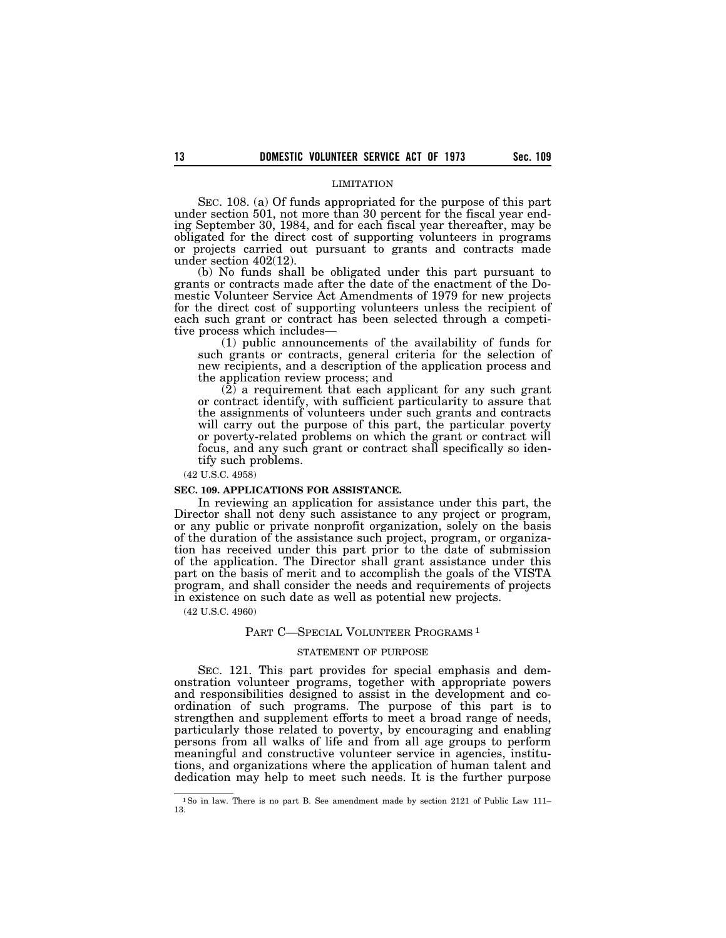#### LIMITATION

SEC. 108. (a) Of funds appropriated for the purpose of this part under section 501, not more than 30 percent for the fiscal year ending September 30, 1984, and for each fiscal year thereafter, may be obligated for the direct cost of supporting volunteers in programs or projects carried out pursuant to grants and contracts made under section 402(12).

(b) No funds shall be obligated under this part pursuant to grants or contracts made after the date of the enactment of the Domestic Volunteer Service Act Amendments of 1979 for new projects for the direct cost of supporting volunteers unless the recipient of each such grant or contract has been selected through a competitive process which includes—

(1) public announcements of the availability of funds for such grants or contracts, general criteria for the selection of new recipients, and a description of the application process and the application review process; and

 $(2)$  a requirement that each applicant for any such grant or contract identify, with sufficient particularity to assure that the assignments of volunteers under such grants and contracts will carry out the purpose of this part, the particular poverty or poverty-related problems on which the grant or contract will focus, and any such grant or contract shall specifically so identify such problems.

(42 U.S.C. 4958)

#### **SEC. 109. APPLICATIONS FOR ASSISTANCE.**

In reviewing an application for assistance under this part, the Director shall not deny such assistance to any project or program, or any public or private nonprofit organization, solely on the basis of the duration of the assistance such project, program, or organization has received under this part prior to the date of submission of the application. The Director shall grant assistance under this part on the basis of merit and to accomplish the goals of the VISTA program, and shall consider the needs and requirements of projects in existence on such date as well as potential new projects.

(42 U.S.C. 4960)

### PART C-SPECIAL VOLUNTEER PROGRAMS<sup>1</sup>

#### STATEMENT OF PURPOSE

SEC. 121. This part provides for special emphasis and demonstration volunteer programs, together with appropriate powers and responsibilities designed to assist in the development and coordination of such programs. The purpose of this part is to strengthen and supplement efforts to meet a broad range of needs, particularly those related to poverty, by encouraging and enabling persons from all walks of life and from all age groups to perform meaningful and constructive volunteer service in agencies, institutions, and organizations where the application of human talent and dedication may help to meet such needs. It is the further purpose

<sup>&</sup>lt;sup>1</sup>So in law. There is no part B. See amendment made by section 2121 of Public Law 111-13.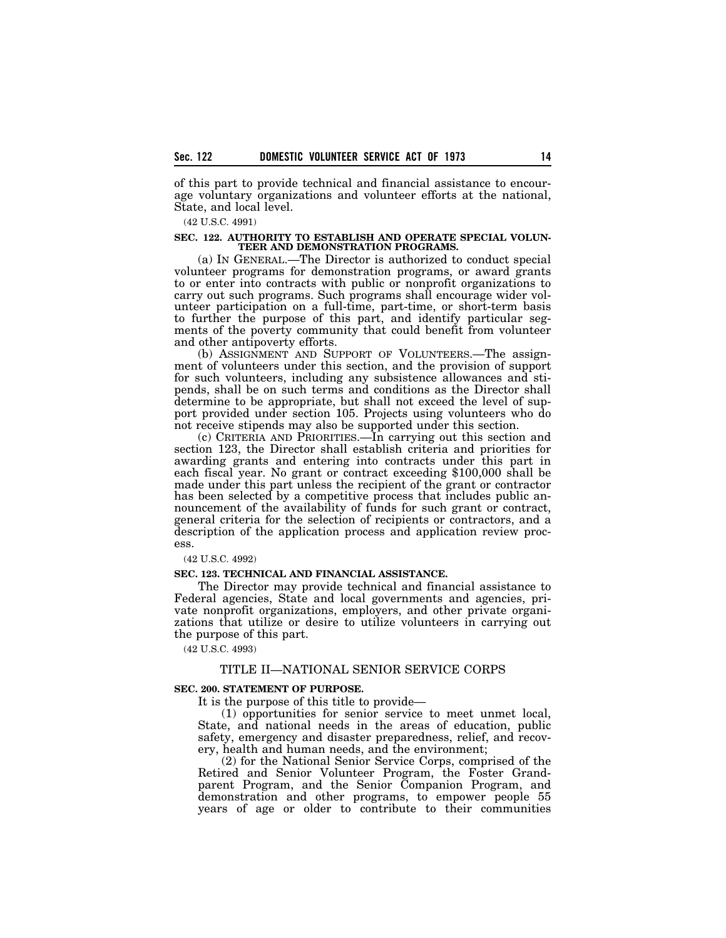of this part to provide technical and financial assistance to encourage voluntary organizations and volunteer efforts at the national, State, and local level.

## (42 U.S.C. 4991)

#### **SEC. 122. AUTHORITY TO ESTABLISH AND OPERATE SPECIAL VOLUN-TEER AND DEMONSTRATION PROGRAMS.**

(a) IN GENERAL.—The Director is authorized to conduct special volunteer programs for demonstration programs, or award grants to or enter into contracts with public or nonprofit organizations to carry out such programs. Such programs shall encourage wider volunteer participation on a full-time, part-time, or short-term basis to further the purpose of this part, and identify particular segments of the poverty community that could benefit from volunteer and other antipoverty efforts.

(b) ASSIGNMENT AND SUPPORT OF VOLUNTEERS.—The assignment of volunteers under this section, and the provision of support for such volunteers, including any subsistence allowances and stipends, shall be on such terms and conditions as the Director shall determine to be appropriate, but shall not exceed the level of support provided under section 105. Projects using volunteers who do not receive stipends may also be supported under this section.

(c) CRITERIA AND PRIORITIES.—In carrying out this section and section 123, the Director shall establish criteria and priorities for awarding grants and entering into contracts under this part in each fiscal year. No grant or contract exceeding \$100,000 shall be made under this part unless the recipient of the grant or contractor has been selected by a competitive process that includes public announcement of the availability of funds for such grant or contract, general criteria for the selection of recipients or contractors, and a description of the application process and application review process.

(42 U.S.C. 4992)

### **SEC. 123. TECHNICAL AND FINANCIAL ASSISTANCE.**

The Director may provide technical and financial assistance to Federal agencies, State and local governments and agencies, private nonprofit organizations, employers, and other private organizations that utilize or desire to utilize volunteers in carrying out the purpose of this part.

(42 U.S.C. 4993)

# TITLE II—NATIONAL SENIOR SERVICE CORPS

#### **SEC. 200. STATEMENT OF PURPOSE.**

It is the purpose of this title to provide—

(1) opportunities for senior service to meet unmet local, State, and national needs in the areas of education, public safety, emergency and disaster preparedness, relief, and recovery, health and human needs, and the environment;

(2) for the National Senior Service Corps, comprised of the Retired and Senior Volunteer Program, the Foster Grandparent Program, and the Senior Companion Program, and demonstration and other programs, to empower people 55 years of age or older to contribute to their communities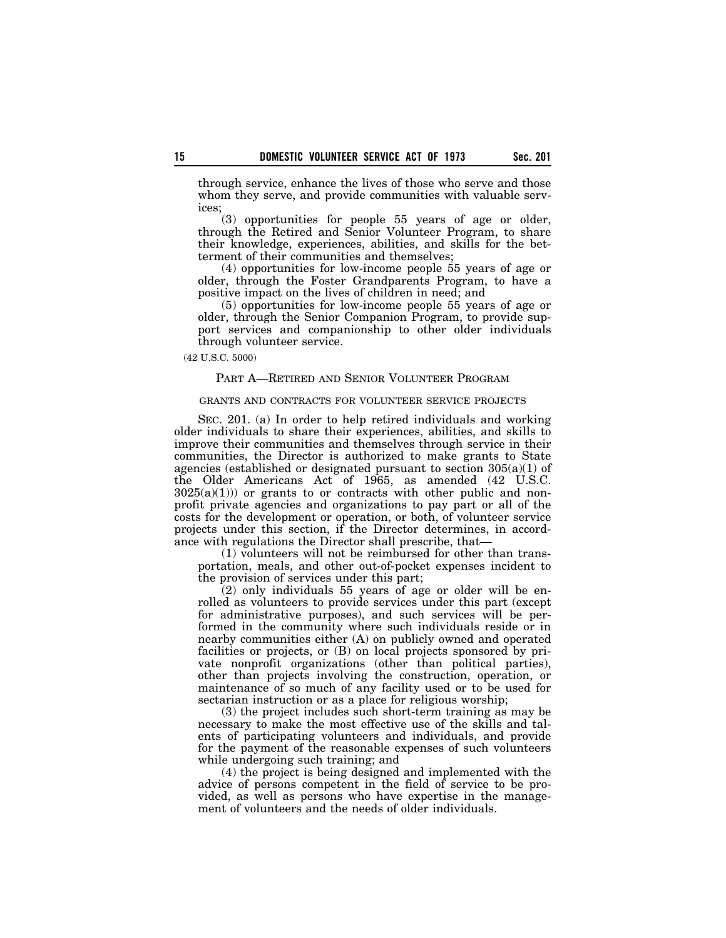through service, enhance the lives of those who serve and those whom they serve, and provide communities with valuable services;

(3) opportunities for people 55 years of age or older, through the Retired and Senior Volunteer Program, to share their knowledge, experiences, abilities, and skills for the betterment of their communities and themselves;

(4) opportunities for low-income people 55 years of age or older, through the Foster Grandparents Program, to have a positive impact on the lives of children in need; and

(5) opportunities for low-income people 55 years of age or older, through the Senior Companion Program, to provide support services and companionship to other older individuals through volunteer service.

(42 U.S.C. 5000)

### PART A—RETIRED AND SENIOR VOLUNTEER PROGRAM

## GRANTS AND CONTRACTS FOR VOLUNTEER SERVICE PROJECTS

SEC. 201. (a) In order to help retired individuals and working older individuals to share their experiences, abilities, and skills to improve their communities and themselves through service in their communities, the Director is authorized to make grants to State agencies (established or designated pursuant to section  $305(a)(1)$  of the Older Americans Act of 1965, as amended  $(42\text{ }\tilde{U}.S.C.)$  $3025(a)(1)$ ) or grants to or contracts with other public and nonprofit private agencies and organizations to pay part or all of the costs for the development or operation, or both, of volunteer service projects under this section, if the Director determines, in accordance with regulations the Director shall prescribe, that—

(1) volunteers will not be reimbursed for other than transportation, meals, and other out-of-pocket expenses incident to the provision of services under this part;

(2) only individuals 55 years of age or older will be enrolled as volunteers to provide services under this part (except for administrative purposes), and such services will be performed in the community where such individuals reside or in nearby communities either (A) on publicly owned and operated facilities or projects, or (B) on local projects sponsored by private nonprofit organizations (other than political parties), other than projects involving the construction, operation, or maintenance of so much of any facility used or to be used for sectarian instruction or as a place for religious worship;

(3) the project includes such short-term training as may be necessary to make the most effective use of the skills and talents of participating volunteers and individuals, and provide for the payment of the reasonable expenses of such volunteers while undergoing such training; and

(4) the project is being designed and implemented with the advice of persons competent in the field of service to be provided, as well as persons who have expertise in the management of volunteers and the needs of older individuals.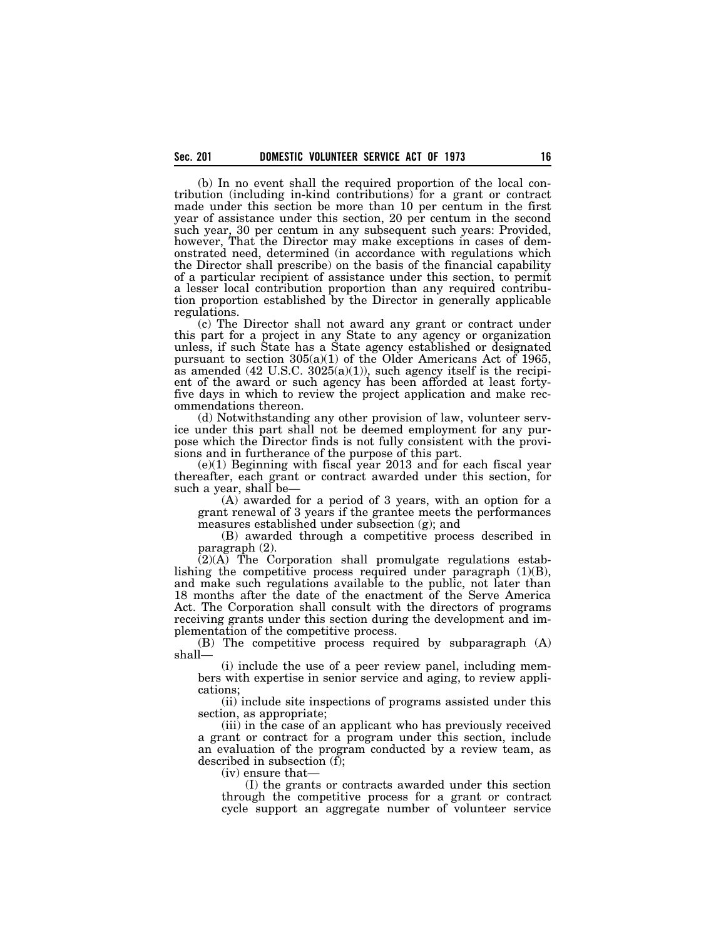(b) In no event shall the required proportion of the local contribution (including in-kind contributions) for a grant or contract made under this section be more than 10 per centum in the first year of assistance under this section, 20 per centum in the second such year, 30 per centum in any subsequent such years: Provided, however, That the Director may make exceptions in cases of demonstrated need, determined (in accordance with regulations which the Director shall prescribe) on the basis of the financial capability of a particular recipient of assistance under this section, to permit a lesser local contribution proportion than any required contribution proportion established by the Director in generally applicable regulations.

(c) The Director shall not award any grant or contract under this part for a project in any State to any agency or organization unless, if such State has a State agency established or designated pursuant to section  $305(a)(1)$  of the Older Americans Act of 1965, as amended  $(42 \text{ U.S.C. } 3025(a)(1))$ , such agency itself is the recipient of the award or such agency has been afforded at least fortyfive days in which to review the project application and make recommendations thereon.

(d) Notwithstanding any other provision of law, volunteer service under this part shall not be deemed employment for any purpose which the Director finds is not fully consistent with the provisions and in furtherance of the purpose of this part.

 $(e)(1)$  Beginning with fiscal year 2013 and for each fiscal year thereafter, each grant or contract awarded under this section, for such a year, shall be—

(A) awarded for a period of 3 years, with an option for a grant renewal of 3 years if the grantee meets the performances measures established under subsection (g); and

(B) awarded through a competitive process described in paragraph (2).

 $(2)(A)$  The Corporation shall promulgate regulations establishing the competitive process required under paragraph (1)(B), and make such regulations available to the public, not later than 18 months after the date of the enactment of the Serve America Act. The Corporation shall consult with the directors of programs receiving grants under this section during the development and implementation of the competitive process.

(B) The competitive process required by subparagraph (A) shall—

(i) include the use of a peer review panel, including members with expertise in senior service and aging, to review applications;

(ii) include site inspections of programs assisted under this section, as appropriate;

(iii) in the case of an applicant who has previously received a grant or contract for a program under this section, include an evaluation of the program conducted by a review team, as described in subsection (f);

(iv) ensure that—

(I) the grants or contracts awarded under this section through the competitive process for a grant or contract cycle support an aggregate number of volunteer service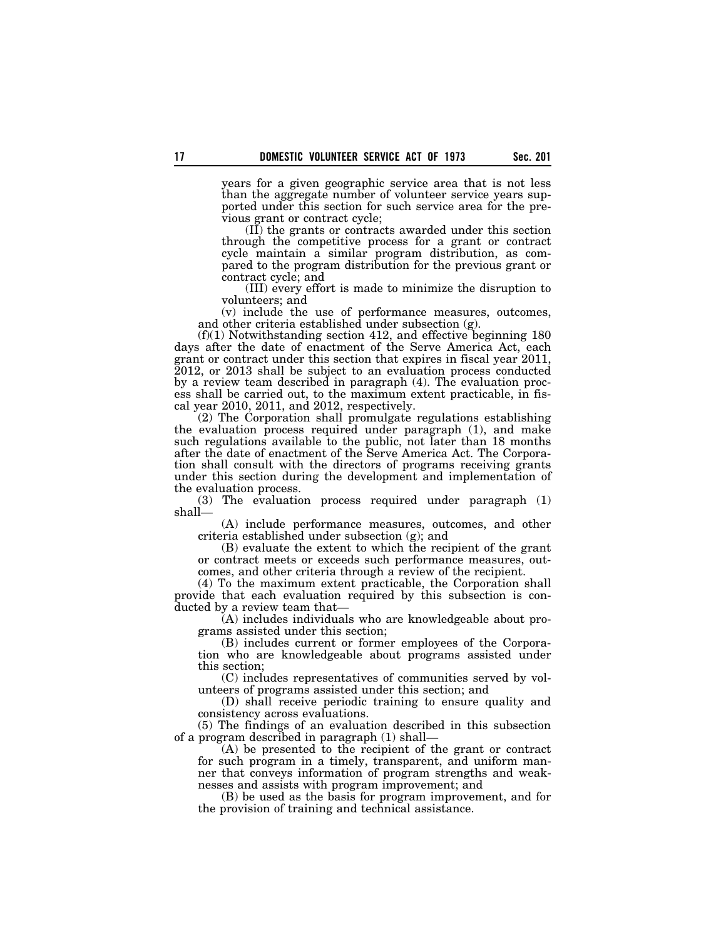years for a given geographic service area that is not less than the aggregate number of volunteer service years supported under this section for such service area for the previous grant or contract cycle;

(II) the grants or contracts awarded under this section through the competitive process for a grant or contract cycle maintain a similar program distribution, as compared to the program distribution for the previous grant or contract cycle; and

(III) every effort is made to minimize the disruption to volunteers; and

(v) include the use of performance measures, outcomes, and other criteria established under subsection (g).

 $(f)(1)$  Notwithstanding section 412, and effective beginning 180 days after the date of enactment of the Serve America Act, each grant or contract under this section that expires in fiscal year 2011, 2012, or 2013 shall be subject to an evaluation process conducted by a review team described in paragraph (4). The evaluation process shall be carried out, to the maximum extent practicable, in fiscal year 2010, 2011, and 2012, respectively.

(2) The Corporation shall promulgate regulations establishing the evaluation process required under paragraph (1), and make such regulations available to the public, not later than 18 months after the date of enactment of the Serve America Act. The Corporation shall consult with the directors of programs receiving grants under this section during the development and implementation of the evaluation process.

(3) The evaluation process required under paragraph (1) shall—

(A) include performance measures, outcomes, and other criteria established under subsection (g); and

(B) evaluate the extent to which the recipient of the grant or contract meets or exceeds such performance measures, outcomes, and other criteria through a review of the recipient.

(4) To the maximum extent practicable, the Corporation shall provide that each evaluation required by this subsection is conducted by a review team that—

(A) includes individuals who are knowledgeable about programs assisted under this section;

(B) includes current or former employees of the Corporation who are knowledgeable about programs assisted under this section;

(C) includes representatives of communities served by volunteers of programs assisted under this section; and

(D) shall receive periodic training to ensure quality and consistency across evaluations.

(5) The findings of an evaluation described in this subsection of a program described in paragraph (1) shall—

(A) be presented to the recipient of the grant or contract for such program in a timely, transparent, and uniform manner that conveys information of program strengths and weaknesses and assists with program improvement; and

(B) be used as the basis for program improvement, and for the provision of training and technical assistance.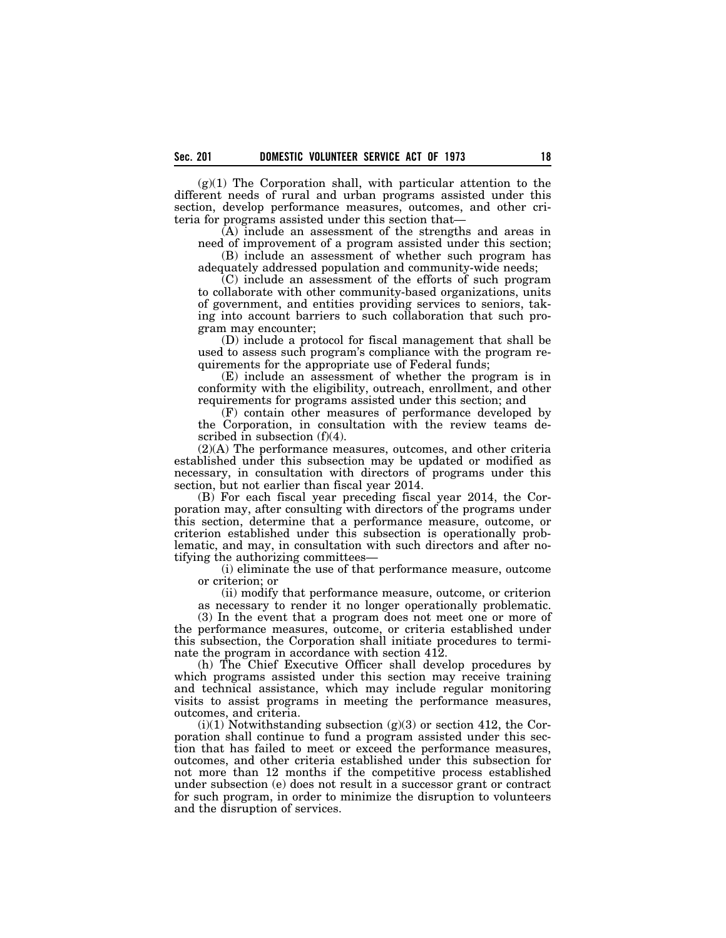$(g)(1)$  The Corporation shall, with particular attention to the different needs of rural and urban programs assisted under this section, develop performance measures, outcomes, and other criteria for programs assisted under this section that—

(A) include an assessment of the strengths and areas in need of improvement of a program assisted under this section;

(B) include an assessment of whether such program has adequately addressed population and community-wide needs;

(C) include an assessment of the efforts of such program to collaborate with other community-based organizations, units of government, and entities providing services to seniors, taking into account barriers to such collaboration that such program may encounter;

(D) include a protocol for fiscal management that shall be used to assess such program's compliance with the program requirements for the appropriate use of Federal funds;

(E) include an assessment of whether the program is in conformity with the eligibility, outreach, enrollment, and other requirements for programs assisted under this section; and

(F) contain other measures of performance developed by the Corporation, in consultation with the review teams described in subsection (f)(4).

(2)(A) The performance measures, outcomes, and other criteria established under this subsection may be updated or modified as necessary, in consultation with directors of programs under this section, but not earlier than fiscal year 2014.

(B) For each fiscal year preceding fiscal year 2014, the Corporation may, after consulting with directors of the programs under this section, determine that a performance measure, outcome, or criterion established under this subsection is operationally problematic, and may, in consultation with such directors and after notifying the authorizing committees—

(i) eliminate the use of that performance measure, outcome or criterion; or

(ii) modify that performance measure, outcome, or criterion

as necessary to render it no longer operationally problematic.

(3) In the event that a program does not meet one or more of the performance measures, outcome, or criteria established under this subsection, the Corporation shall initiate procedures to terminate the program in accordance with section 412.

(h) The Chief Executive Officer shall develop procedures by which programs assisted under this section may receive training and technical assistance, which may include regular monitoring visits to assist programs in meeting the performance measures, outcomes, and criteria.

 $(i)(1)$  Notwithstanding subsection  $(g)(3)$  or section 412, the Corporation shall continue to fund a program assisted under this section that has failed to meet or exceed the performance measures, outcomes, and other criteria established under this subsection for not more than 12 months if the competitive process established under subsection (e) does not result in a successor grant or contract for such program, in order to minimize the disruption to volunteers and the disruption of services.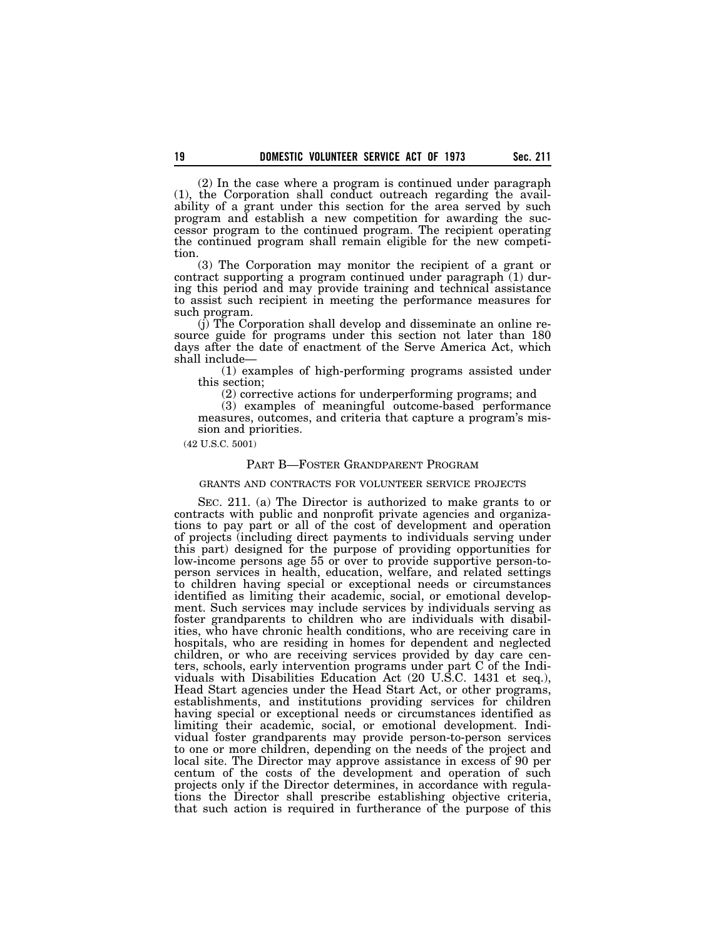(2) In the case where a program is continued under paragraph (1), the Corporation shall conduct outreach regarding the availability of a grant under this section for the area served by such program and establish a new competition for awarding the successor program to the continued program. The recipient operating the continued program shall remain eligible for the new competition.

(3) The Corporation may monitor the recipient of a grant or contract supporting a program continued under paragraph (1) during this period and may provide training and technical assistance to assist such recipient in meeting the performance measures for such program.

(j) The Corporation shall develop and disseminate an online resource guide for programs under this section not later than 180 days after the date of enactment of the Serve America Act, which shall include—

(1) examples of high-performing programs assisted under this section;

(2) corrective actions for underperforming programs; and

(3) examples of meaningful outcome-based performance measures, outcomes, and criteria that capture a program's mission and priorities.

(42 U.S.C. 5001)

## PART B—FOSTER GRANDPARENT PROGRAM

#### GRANTS AND CONTRACTS FOR VOLUNTEER SERVICE PROJECTS

SEC. 211. (a) The Director is authorized to make grants to or contracts with public and nonprofit private agencies and organizations to pay part or all of the cost of development and operation of projects (including direct payments to individuals serving under this part) designed for the purpose of providing opportunities for low-income persons age 55 or over to provide supportive person-toperson services in health, education, welfare, and related settings to children having special or exceptional needs or circumstances identified as limiting their academic, social, or emotional development. Such services may include services by individuals serving as foster grandparents to children who are individuals with disabilities, who have chronic health conditions, who are receiving care in hospitals, who are residing in homes for dependent and neglected children, or who are receiving services provided by day care centers, schools, early intervention programs under part C of the Individuals with Disabilities Education Act (20 U.S.C. 1431 et seq.), Head Start agencies under the Head Start Act, or other programs, establishments, and institutions providing services for children having special or exceptional needs or circumstances identified as limiting their academic, social, or emotional development. Individual foster grandparents may provide person-to-person services to one or more children, depending on the needs of the project and local site. The Director may approve assistance in excess of 90 per centum of the costs of the development and operation of such projects only if the Director determines, in accordance with regulations the Director shall prescribe establishing objective criteria, that such action is required in furtherance of the purpose of this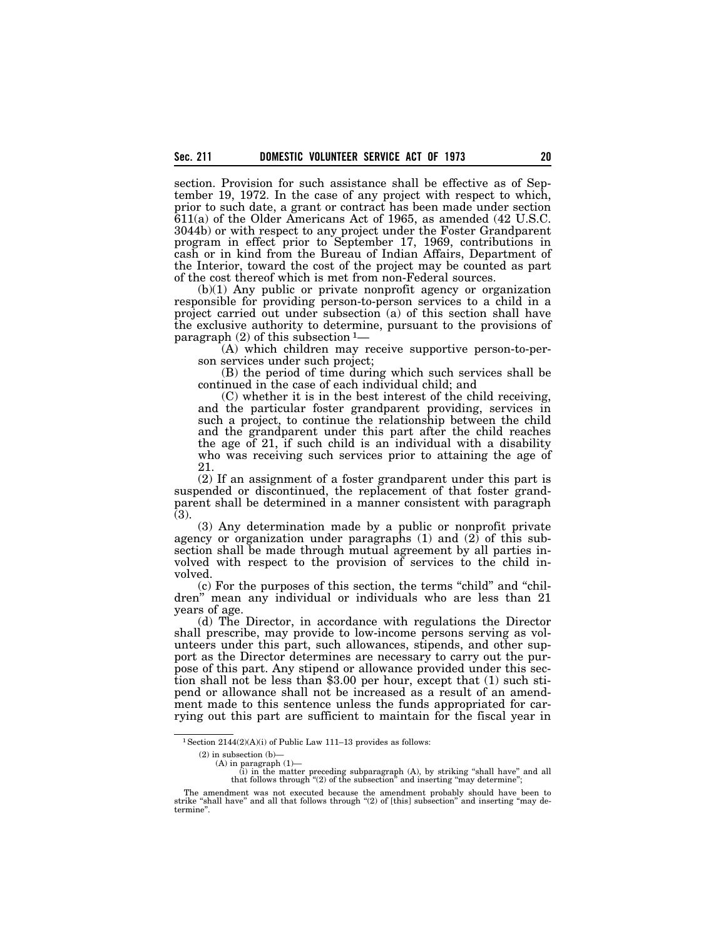section. Provision for such assistance shall be effective as of September 19, 1972. In the case of any project with respect to which, prior to such date, a grant or contract has been made under section 611(a) of the Older Americans Act of 1965, as amended (42 U.S.C. 3044b) or with respect to any project under the Foster Grandparent program in effect prior to September 17, 1969, contributions in cash or in kind from the Bureau of Indian Affairs, Department of the Interior, toward the cost of the project may be counted as part of the cost thereof which is met from non-Federal sources.

(b)(1) Any public or private nonprofit agency or organization responsible for providing person-to-person services to a child in a project carried out under subsection (a) of this section shall have the exclusive authority to determine, pursuant to the provisions of paragraph  $(2)$  of this subsection  $1-$ 

(A) which children may receive supportive person-to-person services under such project;

(B) the period of time during which such services shall be continued in the case of each individual child; and

(C) whether it is in the best interest of the child receiving, and the particular foster grandparent providing, services in such a project, to continue the relationship between the child and the grandparent under this part after the child reaches the age of 21, if such child is an individual with a disability who was receiving such services prior to attaining the age of 21.

(2) If an assignment of a foster grandparent under this part is suspended or discontinued, the replacement of that foster grandparent shall be determined in a manner consistent with paragraph (3).

(3) Any determination made by a public or nonprofit private agency or organization under paragraphs  $(1)$  and  $(2)$  of this subsection shall be made through mutual agreement by all parties involved with respect to the provision of services to the child involved.

(c) For the purposes of this section, the terms ''child'' and ''children'' mean any individual or individuals who are less than 21 years of age.

(d) The Director, in accordance with regulations the Director shall prescribe, may provide to low-income persons serving as volunteers under this part, such allowances, stipends, and other support as the Director determines are necessary to carry out the purpose of this part. Any stipend or allowance provided under this section shall not be less than \$3.00 per hour, except that (1) such stipend or allowance shall not be increased as a result of an amendment made to this sentence unless the funds appropriated for carrying out this part are sufficient to maintain for the fiscal year in

 $^1$  Section 2144(2)(A)(i) of Public Law 111–13 provides as follows:

<sup>(2)</sup> in subsection (b)—

<sup>(</sup>A) in paragraph  $(1)$ —<br>(i) in the matter

<sup>(</sup>i) in the matter preceding subparagraph (A), by striking "shall have" and all that follows through "(2) of the subsection" and inserting "may determine";

The amendment was not executed because the amendment probably should have been to strike "shall have" and all that follows through "(2) of [this] subsection" and inserting "may determine''.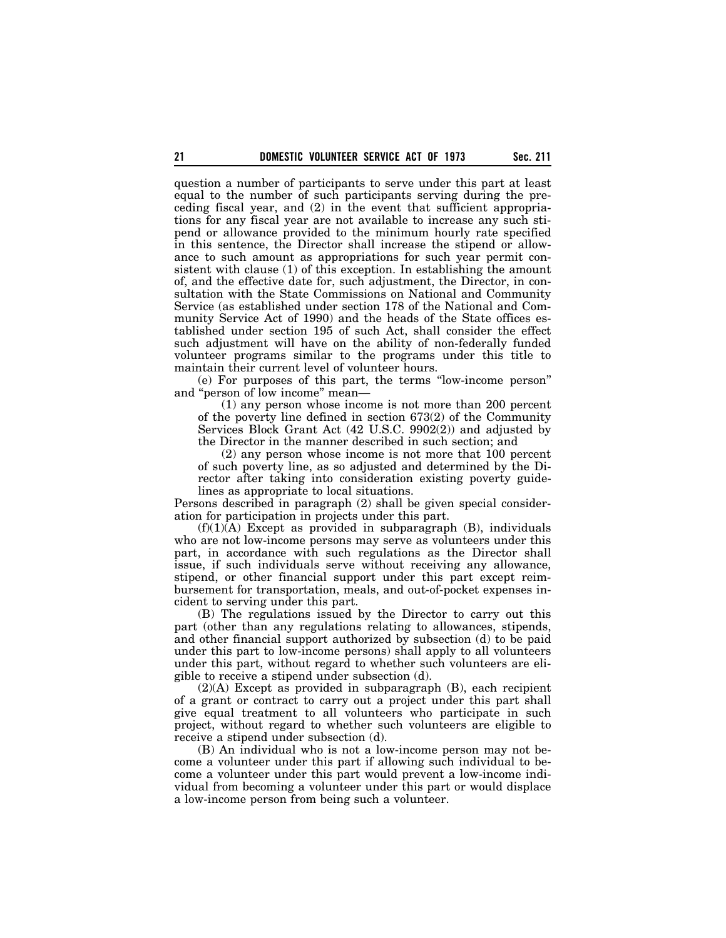question a number of participants to serve under this part at least equal to the number of such participants serving during the preceding fiscal year, and (2) in the event that sufficient appropriations for any fiscal year are not available to increase any such stipend or allowance provided to the minimum hourly rate specified in this sentence, the Director shall increase the stipend or allowance to such amount as appropriations for such year permit consistent with clause (1) of this exception. In establishing the amount of, and the effective date for, such adjustment, the Director, in consultation with the State Commissions on National and Community Service (as established under section 178 of the National and Community Service Act of 1990) and the heads of the State offices established under section 195 of such Act, shall consider the effect such adjustment will have on the ability of non-federally funded volunteer programs similar to the programs under this title to maintain their current level of volunteer hours.

(e) For purposes of this part, the terms ''low-income person'' and ''person of low income'' mean—

(1) any person whose income is not more than 200 percent of the poverty line defined in section 673(2) of the Community Services Block Grant Act (42 U.S.C. 9902(2)) and adjusted by the Director in the manner described in such section; and

(2) any person whose income is not more that 100 percent of such poverty line, as so adjusted and determined by the Director after taking into consideration existing poverty guidelines as appropriate to local situations.

Persons described in paragraph (2) shall be given special consideration for participation in projects under this part.

 $(f)(1)(A)$  Except as provided in subparagraph  $(B)$ , individuals who are not low-income persons may serve as volunteers under this part, in accordance with such regulations as the Director shall issue, if such individuals serve without receiving any allowance, stipend, or other financial support under this part except reimbursement for transportation, meals, and out-of-pocket expenses incident to serving under this part.

(B) The regulations issued by the Director to carry out this part (other than any regulations relating to allowances, stipends, and other financial support authorized by subsection (d) to be paid under this part to low-income persons) shall apply to all volunteers under this part, without regard to whether such volunteers are eligible to receive a stipend under subsection (d).

(2)(A) Except as provided in subparagraph (B), each recipient of a grant or contract to carry out a project under this part shall give equal treatment to all volunteers who participate in such project, without regard to whether such volunteers are eligible to receive a stipend under subsection (d).

(B) An individual who is not a low-income person may not become a volunteer under this part if allowing such individual to become a volunteer under this part would prevent a low-income individual from becoming a volunteer under this part or would displace a low-income person from being such a volunteer.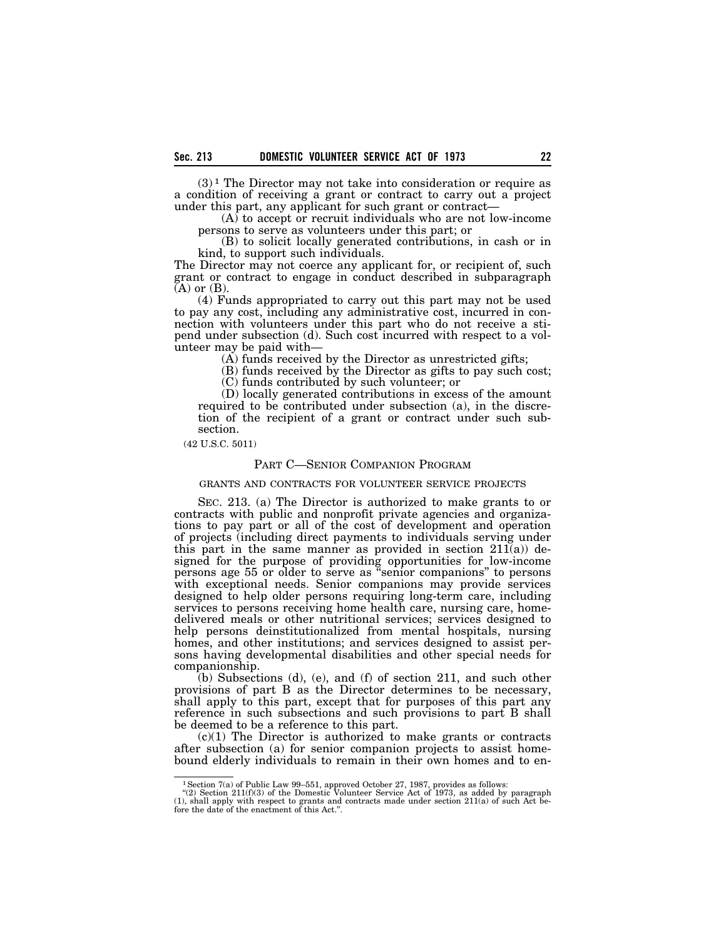$(3)$ <sup>1</sup> The Director may not take into consideration or require as a condition of receiving a grant or contract to carry out a project under this part, any applicant for such grant or contract—

(A) to accept or recruit individuals who are not low-income persons to serve as volunteers under this part; or

(B) to solicit locally generated contributions, in cash or in kind, to support such individuals.

The Director may not coerce any applicant for, or recipient of, such grant or contract to engage in conduct described in subparagraph  $(A)$  or  $(B)$ .

(4) Funds appropriated to carry out this part may not be used to pay any cost, including any administrative cost, incurred in connection with volunteers under this part who do not receive a stipend under subsection (d). Such cost incurred with respect to a volunteer may be paid with—

(A) funds received by the Director as unrestricted gifts;

(B) funds received by the Director as gifts to pay such cost;

(C) funds contributed by such volunteer; or

(D) locally generated contributions in excess of the amount required to be contributed under subsection (a), in the discretion of the recipient of a grant or contract under such subsection.

(42 U.S.C. 5011)

## PART C—SENIOR COMPANION PROGRAM

#### GRANTS AND CONTRACTS FOR VOLUNTEER SERVICE PROJECTS

SEC. 213. (a) The Director is authorized to make grants to or contracts with public and nonprofit private agencies and organizations to pay part or all of the cost of development and operation of projects (including direct payments to individuals serving under this part in the same manner as provided in section  $211(a)$  designed for the purpose of providing opportunities for low-income persons age 55 or older to serve as ''senior companions'' to persons with exceptional needs. Senior companions may provide services designed to help older persons requiring long-term care, including services to persons receiving home health care, nursing care, homedelivered meals or other nutritional services; services designed to help persons deinstitutionalized from mental hospitals, nursing homes, and other institutions; and services designed to assist persons having developmental disabilities and other special needs for companionship.

(b) Subsections (d), (e), and (f) of section 211, and such other provisions of part B as the Director determines to be necessary, shall apply to this part, except that for purposes of this part any reference in such subsections and such provisions to part B shall be deemed to be a reference to this part.

 $(c)(1)$  The Director is authorized to make grants or contracts after subsection (a) for senior companion projects to assist homebound elderly individuals to remain in their own homes and to en-

<sup>&</sup>lt;sup>1</sup> Section 7(a) of Public Law 99-551, approved October 27, 1987, provides as follows:<br>
"(2) Section 211(f)(3) of the Domestic Volunteer Service Act of 1973, as added by paragraph (1), shall apply with respect to grants a fore the date of the enactment of this Act.''.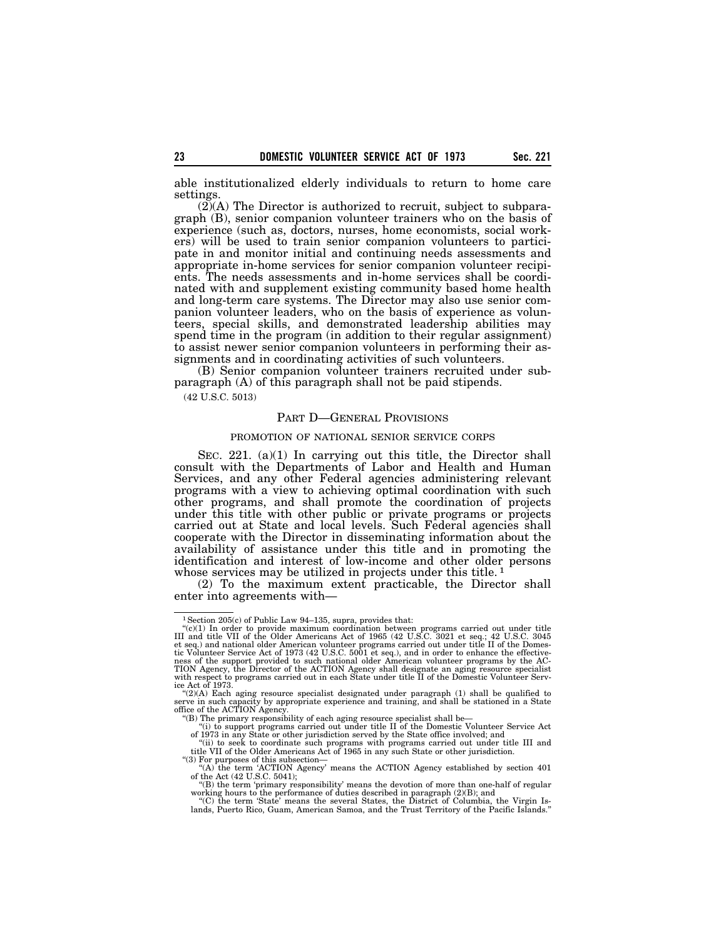able institutionalized elderly individuals to return to home care settings.

 $(2)$ (A) The Director is authorized to recruit, subject to subparagraph (B), senior companion volunteer trainers who on the basis of experience (such as, doctors, nurses, home economists, social workers) will be used to train senior companion volunteers to participate in and monitor initial and continuing needs assessments and appropriate in-home services for senior companion volunteer recipients. The needs assessments and in-home services shall be coordinated with and supplement existing community based home health and long-term care systems. The Director may also use senior companion volunteer leaders, who on the basis of experience as volunteers, special skills, and demonstrated leadership abilities may spend time in the program (in addition to their regular assignment) to assist newer senior companion volunteers in performing their assignments and in coordinating activities of such volunteers.

(B) Senior companion volunteer trainers recruited under subparagraph (A) of this paragraph shall not be paid stipends.

(42 U.S.C. 5013)

### PART D—GENERAL PROVISIONS

#### PROMOTION OF NATIONAL SENIOR SERVICE CORPS

SEC. 221. (a)(1) In carrying out this title, the Director shall consult with the Departments of Labor and Health and Human Services, and any other Federal agencies administering relevant programs with a view to achieving optimal coordination with such other programs, and shall promote the coordination of projects under this title with other public or private programs or projects carried out at State and local levels. Such Federal agencies shall cooperate with the Director in disseminating information about the availability of assistance under this title and in promoting the identification and interest of low-income and other older persons whose services may be utilized in projects under this title.<sup>1</sup>

(2) To the maximum extent practicable, the Director shall enter into agreements with—

<sup>&</sup>lt;sup>1</sup> Section 205(c) of Public Law 94-135, supra, provides that:

<sup>&</sup>quot;(c)(1) In order to provide maximum coordination between programs carried out under title III and title VII of the Older Americans Act of 1965 (42 U.S.C. 3021 et seq.; 42 U.S.C. 3045 (42 U.S.C. 20045) et seq.; 42 U.S.C. 2 with respect to programs carried out in each State under title II of the Domestic Volunteer Serv-ice Act of 1973. ''(2)(A) Each aging resource specialist designated under paragraph (1) shall be qualified to

serve in such capacity by appropriate experience and training, and shall be stationed in a State office of the ACTION Agency.

<sup>&#</sup>x27;'(B) The primary responsibility of each aging resource specialist shall be— ''(i) to support programs carried out under title II of the Domestic Volunteer Service Act

of 1973 in any State or other jurisdiction served by the State office involved; and<br>"(ii) to seek to coordinate such programs with programs carried out under title III and<br>title VII of the Older Americans Act of 1965 in an ''(3) For purposes of this subsection—

<sup>&</sup>quot;(A) the term 'ACTION Agency' means the ACTION Agency established by section 401 of the Act (42 U.S.C. 5041);

<sup>&#</sup>x27;'(B) the term 'primary responsibility' means the devotion of more than one-half of regular working hours to the performance of duties described in paragraph (2)(B); and ''(C) the term 'State' means the several States, the District of Columbia, the Virgin Is-

lands, Puerto Rico, Guam, American Samoa, and the Trust Territory of the Pacific Islands.''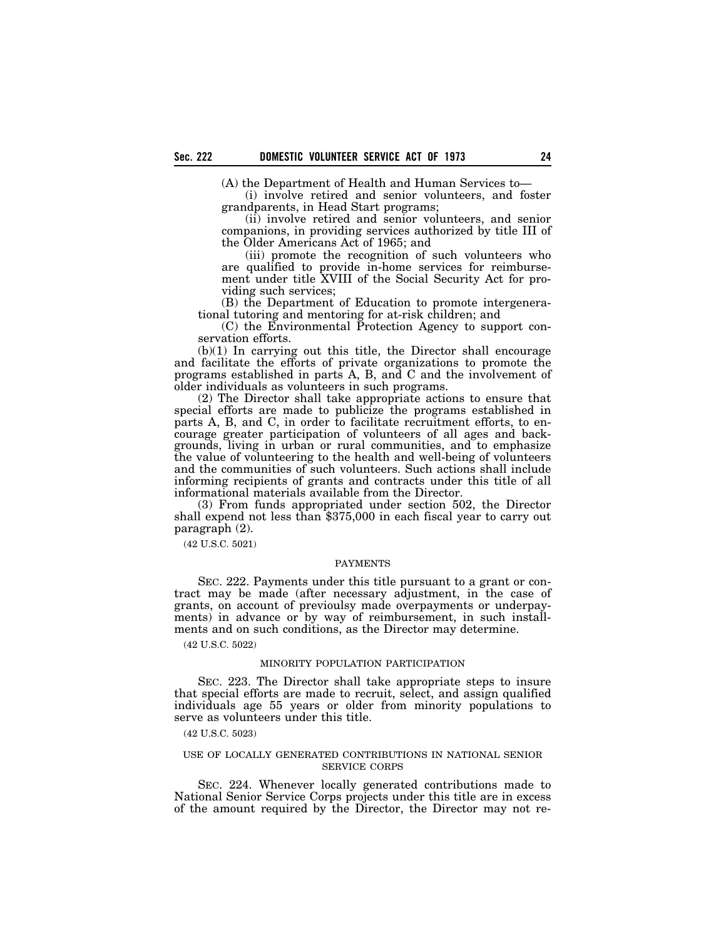(A) the Department of Health and Human Services to—

(i) involve retired and senior volunteers, and foster grandparents, in Head Start programs;

(ii) involve retired and senior volunteers, and senior companions, in providing services authorized by title III of the Older Americans Act of 1965; and

(iii) promote the recognition of such volunteers who are qualified to provide in-home services for reimbursement under title XVIII of the Social Security Act for providing such services;

(B) the Department of Education to promote intergenerational tutoring and mentoring for at-risk children; and

(C) the Environmental Protection Agency to support conservation efforts.

(b)(1) In carrying out this title, the Director shall encourage and facilitate the efforts of private organizations to promote the programs established in parts A, B, and C and the involvement of older individuals as volunteers in such programs.

(2) The Director shall take appropriate actions to ensure that special efforts are made to publicize the programs established in parts A, B, and C, in order to facilitate recruitment efforts, to encourage greater participation of volunteers of all ages and backgrounds, living in urban or rural communities, and to emphasize the value of volunteering to the health and well-being of volunteers and the communities of such volunteers. Such actions shall include informing recipients of grants and contracts under this title of all informational materials available from the Director.

(3) From funds appropriated under section 502, the Director shall expend not less than \$375,000 in each fiscal year to carry out paragraph (2).

(42 U.S.C. 5021)

#### PAYMENTS

SEC. 222. Payments under this title pursuant to a grant or contract may be made (after necessary adjustment, in the case of grants, on account of previoulsy made overpayments or underpayments) in advance or by way of reimbursement, in such installments and on such conditions, as the Director may determine.

(42 U.S.C. 5022)

### MINORITY POPULATION PARTICIPATION

SEC. 223. The Director shall take appropriate steps to insure that special efforts are made to recruit, select, and assign qualified individuals age 55 years or older from minority populations to serve as volunteers under this title.

(42 U.S.C. 5023)

## USE OF LOCALLY GENERATED CONTRIBUTIONS IN NATIONAL SENIOR SERVICE CORPS

SEC. 224. Whenever locally generated contributions made to National Senior Service Corps projects under this title are in excess of the amount required by the Director, the Director may not re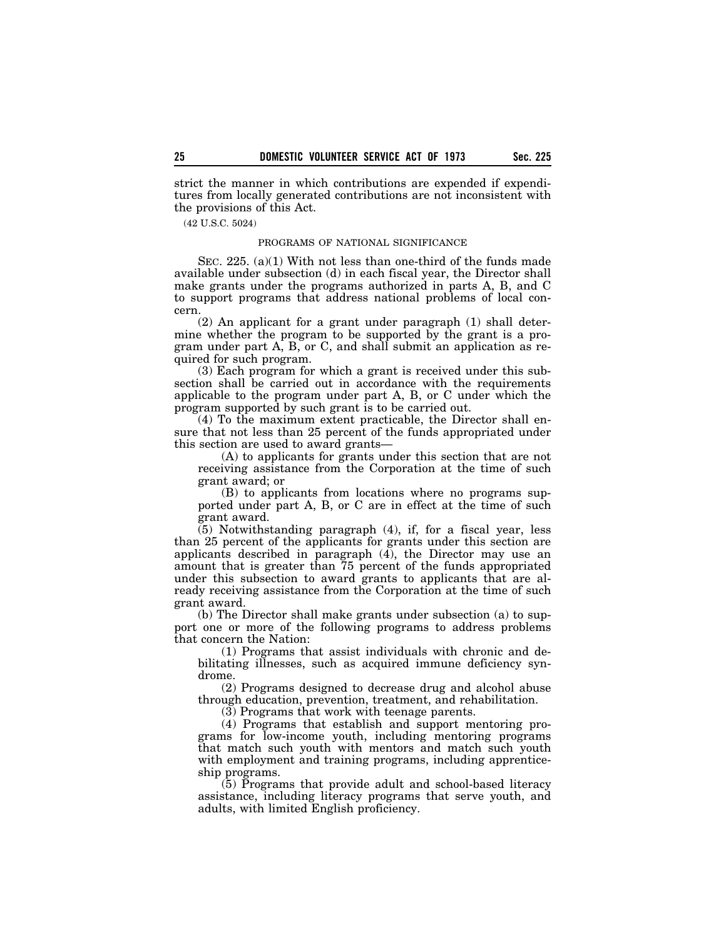strict the manner in which contributions are expended if expenditures from locally generated contributions are not inconsistent with the provisions of this Act.

(42 U.S.C. 5024)

### PROGRAMS OF NATIONAL SIGNIFICANCE

SEC. 225. (a)(1) With not less than one-third of the funds made available under subsection (d) in each fiscal year, the Director shall make grants under the programs authorized in parts A, B, and C to support programs that address national problems of local concern.

(2) An applicant for a grant under paragraph (1) shall determine whether the program to be supported by the grant is a program under part A, B, or C, and shall submit an application as required for such program.

(3) Each program for which a grant is received under this subsection shall be carried out in accordance with the requirements applicable to the program under part A, B, or C under which the program supported by such grant is to be carried out.

(4) To the maximum extent practicable, the Director shall ensure that not less than 25 percent of the funds appropriated under this section are used to award grants—

(A) to applicants for grants under this section that are not receiving assistance from the Corporation at the time of such grant award; or

(B) to applicants from locations where no programs supported under part A, B, or C are in effect at the time of such grant award.

(5) Notwithstanding paragraph (4), if, for a fiscal year, less than 25 percent of the applicants for grants under this section are applicants described in paragraph  $(4)$ , the Director may use an amount that is greater than 75 percent of the funds appropriated under this subsection to award grants to applicants that are already receiving assistance from the Corporation at the time of such grant award.

(b) The Director shall make grants under subsection (a) to support one or more of the following programs to address problems that concern the Nation:

(1) Programs that assist individuals with chronic and debilitating illnesses, such as acquired immune deficiency syndrome.

(2) Programs designed to decrease drug and alcohol abuse through education, prevention, treatment, and rehabilitation.

(3) Programs that work with teenage parents.

(4) Programs that establish and support mentoring programs for low-income youth, including mentoring programs that match such youth with mentors and match such youth with employment and training programs, including apprenticeship programs.

 $(5)$  Programs that provide adult and school-based literacy assistance, including literacy programs that serve youth, and adults, with limited English proficiency.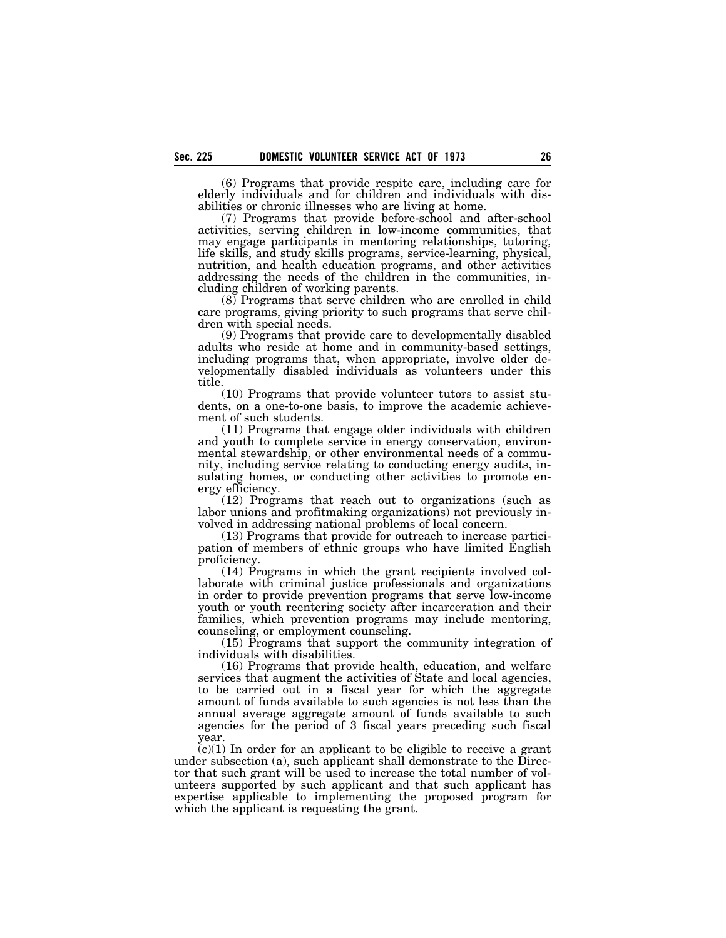(6) Programs that provide respite care, including care for elderly individuals and for children and individuals with disabilities or chronic illnesses who are living at home.

(7) Programs that provide before-school and after-school activities, serving children in low-income communities, that may engage participants in mentoring relationships, tutoring, life skills, and study skills programs, service-learning, physical, nutrition, and health education programs, and other activities addressing the needs of the children in the communities, including children of working parents.

(8) Programs that serve children who are enrolled in child care programs, giving priority to such programs that serve children with special needs.

(9) Programs that provide care to developmentally disabled adults who reside at home and in community-based settings, including programs that, when appropriate, involve older developmentally disabled individuals as volunteers under this title.

(10) Programs that provide volunteer tutors to assist students, on a one-to-one basis, to improve the academic achievement of such students.

(11) Programs that engage older individuals with children and youth to complete service in energy conservation, environmental stewardship, or other environmental needs of a community, including service relating to conducting energy audits, insulating homes, or conducting other activities to promote energy efficiency.

(12) Programs that reach out to organizations (such as labor unions and profitmaking organizations) not previously involved in addressing national problems of local concern.

(13) Programs that provide for outreach to increase participation of members of ethnic groups who have limited English proficiency.

(14) Programs in which the grant recipients involved collaborate with criminal justice professionals and organizations in order to provide prevention programs that serve low-income youth or youth reentering society after incarceration and their families, which prevention programs may include mentoring, counseling, or employment counseling.

(15) Programs that support the community integration of individuals with disabilities.

(16) Programs that provide health, education, and welfare services that augment the activities of State and local agencies, to be carried out in a fiscal year for which the aggregate amount of funds available to such agencies is not less than the annual average aggregate amount of funds available to such agencies for the period of 3 fiscal years preceding such fiscal year.

 $(c)(1)$  In order for an applicant to be eligible to receive a grant under subsection (a), such applicant shall demonstrate to the Director that such grant will be used to increase the total number of volunteers supported by such applicant and that such applicant has expertise applicable to implementing the proposed program for which the applicant is requesting the grant.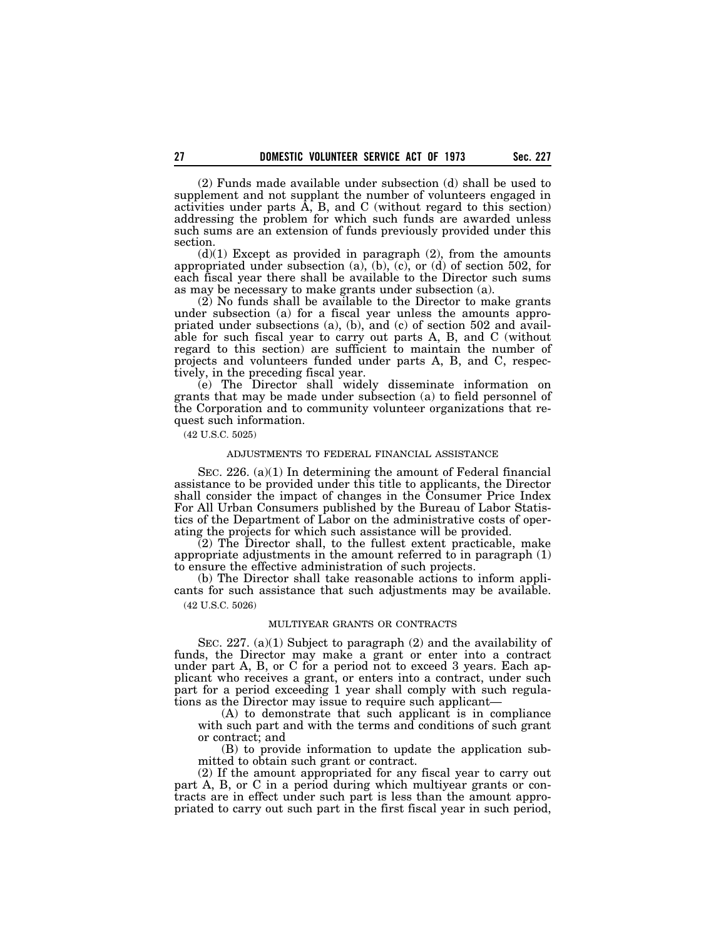(2) Funds made available under subsection (d) shall be used to supplement and not supplant the number of volunteers engaged in activities under parts  $\overline{A}$ ,  $B$ , and  $C$  (without regard to this section) addressing the problem for which such funds are awarded unless such sums are an extension of funds previously provided under this section.

 $(d)(1)$  Except as provided in paragraph  $(2)$ , from the amounts appropriated under subsection  $(a)$ ,  $(b)$ ,  $(c)$ ,  $(c)$ ,  $(d)$  of section 502, for each fiscal year there shall be available to the Director such sums as may be necessary to make grants under subsection (a).

(2) No funds shall be available to the Director to make grants under subsection (a) for a fiscal year unless the amounts appropriated under subsections (a), (b), and (c) of section 502 and available for such fiscal year to carry out parts A, B, and C (without regard to this section) are sufficient to maintain the number of projects and volunteers funded under parts A, B, and C, respectively, in the preceding fiscal year.

(e) The Director shall widely disseminate information on grants that may be made under subsection (a) to field personnel of the Corporation and to community volunteer organizations that request such information.

(42 U.S.C. 5025)

## ADJUSTMENTS TO FEDERAL FINANCIAL ASSISTANCE

SEC. 226. (a)(1) In determining the amount of Federal financial assistance to be provided under this title to applicants, the Director shall consider the impact of changes in the Consumer Price Index For All Urban Consumers published by the Bureau of Labor Statistics of the Department of Labor on the administrative costs of operating the projects for which such assistance will be provided.

(2) The Director shall, to the fullest extent practicable, make appropriate adjustments in the amount referred to in paragraph  $(1)$ to ensure the effective administration of such projects.

(b) The Director shall take reasonable actions to inform applicants for such assistance that such adjustments may be available. (42 U.S.C. 5026)

#### MULTIYEAR GRANTS OR CONTRACTS

SEC. 227. (a)(1) Subject to paragraph (2) and the availability of funds, the Director may make a grant or enter into a contract under part A, B, or C for a period not to exceed 3 years. Each applicant who receives a grant, or enters into a contract, under such part for a period exceeding 1 year shall comply with such regulations as the Director may issue to require such applicant—

(A) to demonstrate that such applicant is in compliance with such part and with the terms and conditions of such grant or contract; and

(B) to provide information to update the application submitted to obtain such grant or contract.

(2) If the amount appropriated for any fiscal year to carry out part A, B, or C in a period during which multiyear grants or contracts are in effect under such part is less than the amount appropriated to carry out such part in the first fiscal year in such period,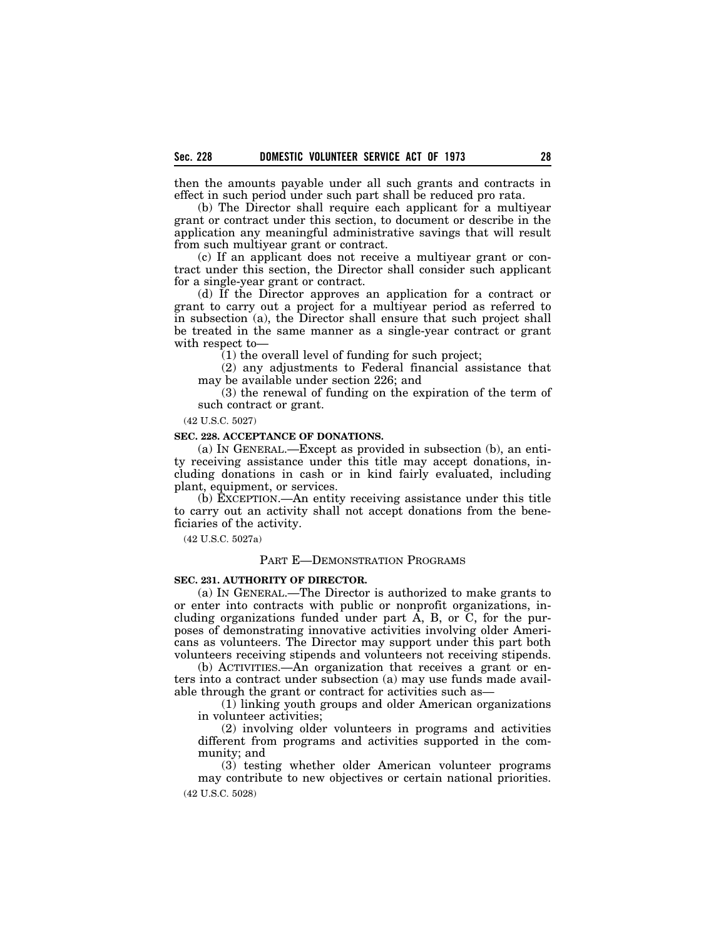then the amounts payable under all such grants and contracts in effect in such period under such part shall be reduced pro rata.

(b) The Director shall require each applicant for a multiyear grant or contract under this section, to document or describe in the application any meaningful administrative savings that will result from such multiyear grant or contract.

(c) If an applicant does not receive a multiyear grant or contract under this section, the Director shall consider such applicant for a single-year grant or contract.

(d) If the Director approves an application for a contract or grant to carry out a project for a multiyear period as referred to in subsection (a), the Director shall ensure that such project shall be treated in the same manner as a single-year contract or grant with respect to—

(1) the overall level of funding for such project;

(2) any adjustments to Federal financial assistance that may be available under section 226; and

(3) the renewal of funding on the expiration of the term of such contract or grant.

(42 U.S.C. 5027)

## **SEC. 228. ACCEPTANCE OF DONATIONS.**

(a) IN GENERAL.—Except as provided in subsection (b), an entity receiving assistance under this title may accept donations, including donations in cash or in kind fairly evaluated, including plant, equipment, or services.

(b) EXCEPTION.—An entity receiving assistance under this title to carry out an activity shall not accept donations from the beneficiaries of the activity.

(42 U.S.C. 5027a)

## PART E—DEMONSTRATION PROGRAMS

## **SEC. 231. AUTHORITY OF DIRECTOR.**

(a) IN GENERAL.—The Director is authorized to make grants to or enter into contracts with public or nonprofit organizations, including organizations funded under part A, B, or C, for the purposes of demonstrating innovative activities involving older Americans as volunteers. The Director may support under this part both volunteers receiving stipends and volunteers not receiving stipends.

(b) ACTIVITIES.—An organization that receives a grant or enters into a contract under subsection (a) may use funds made available through the grant or contract for activities such as—

(1) linking youth groups and older American organizations in volunteer activities;

(2) involving older volunteers in programs and activities different from programs and activities supported in the community; and

(3) testing whether older American volunteer programs may contribute to new objectives or certain national priorities. (42 U.S.C. 5028)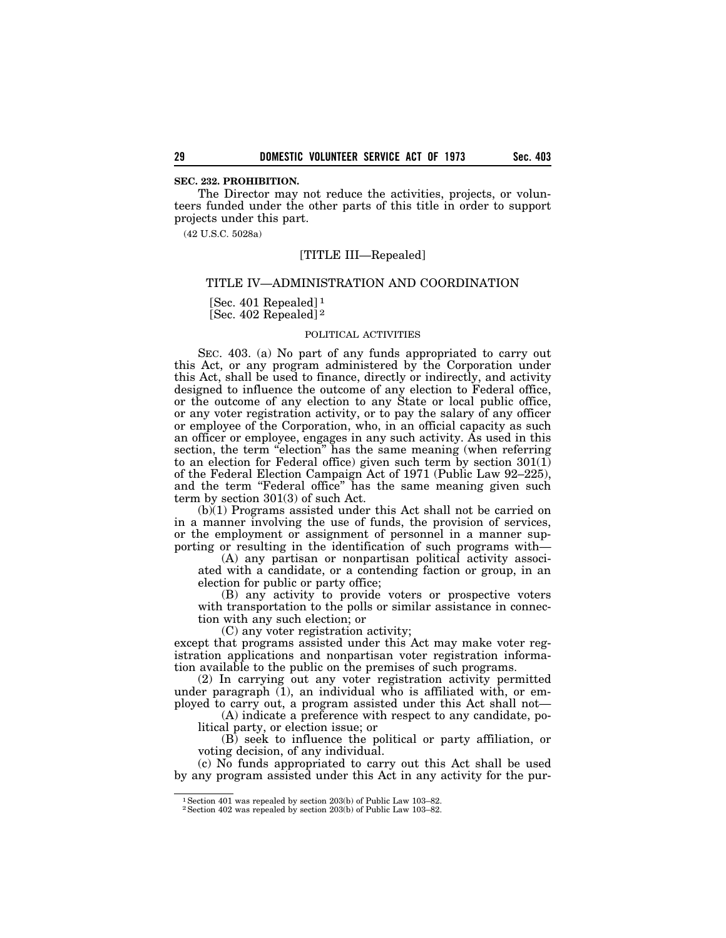The Director may not reduce the activities, projects, or volunteers funded under the other parts of this title in order to support projects under this part.

(42 U.S.C. 5028a)

## [TITLE III—Repealed]

### TITLE IV—ADMINISTRATION AND COORDINATION

[Sec. 401 Repealed] 1 [Sec. 402 Repealed] 2

### POLITICAL ACTIVITIES

SEC. 403. (a) No part of any funds appropriated to carry out this Act, or any program administered by the Corporation under this Act, shall be used to finance, directly or indirectly, and activity designed to influence the outcome of any election to Federal office, or the outcome of any election to any State or local public office, or any voter registration activity, or to pay the salary of any officer or employee of the Corporation, who, in an official capacity as such an officer or employee, engages in any such activity. As used in this section, the term "election" has the same meaning (when referring to an election for Federal office) given such term by section 301(1) of the Federal Election Campaign Act of 1971 (Public Law 92–225), and the term "Federal office" has the same meaning given such term by section 301(3) of such Act.

(b)(1) Programs assisted under this Act shall not be carried on in a manner involving the use of funds, the provision of services, or the employment or assignment of personnel in a manner supporting or resulting in the identification of such programs with—

(A) any partisan or nonpartisan political activity associated with a candidate, or a contending faction or group, in an election for public or party office;

(B) any activity to provide voters or prospective voters with transportation to the polls or similar assistance in connection with any such election; or

(C) any voter registration activity;

except that programs assisted under this Act may make voter registration applications and nonpartisan voter registration information available to the public on the premises of such programs.

(2) In carrying out any voter registration activity permitted under paragraph  $(1)$ , an individual who is affiliated with, or employed to carry out, a program assisted under this Act shall not—

(A) indicate a preference with respect to any candidate, political party, or election issue; or

(B) seek to influence the political or party affiliation, or voting decision, of any individual.

(c) No funds appropriated to carry out this Act shall be used by any program assisted under this Act in any activity for the pur-

<sup>1</sup>Section 401 was repealed by section 203(b) of Public Law 103–82.

<sup>2</sup>Section 402 was repealed by section 203(b) of Public Law 103–82.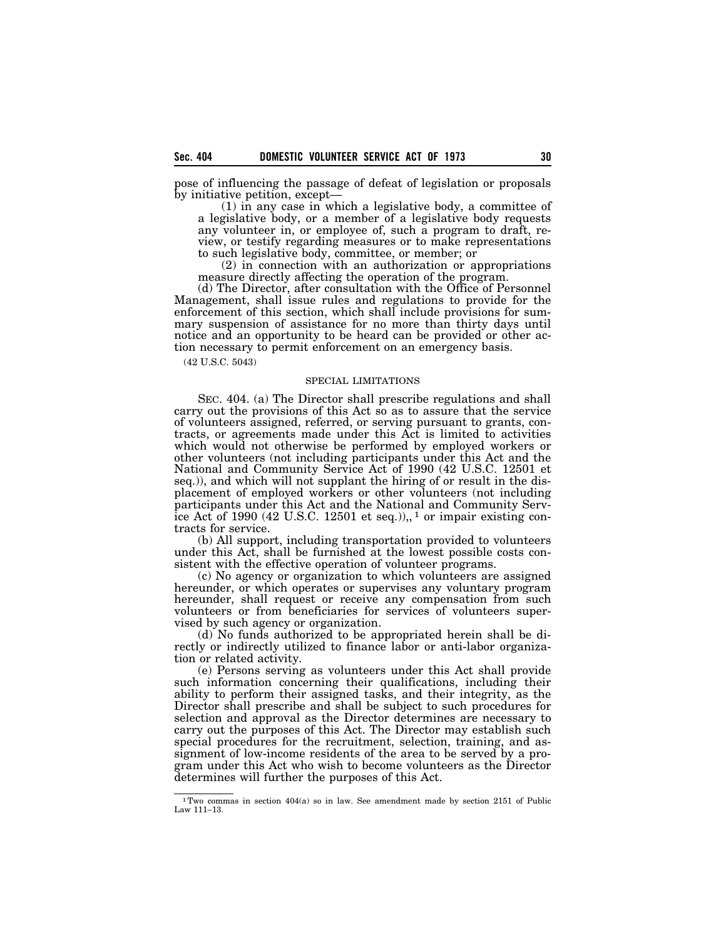pose of influencing the passage of defeat of legislation or proposals by initiative petition, except—

(1) in any case in which a legislative body, a committee of a legislative body, or a member of a legislative body requests any volunteer in, or employee of, such a program to draft, review, or testify regarding measures or to make representations to such legislative body, committee, or member; or

(2) in connection with an authorization or appropriations measure directly affecting the operation of the program.

(d) The Director, after consultation with the Office of Personnel Management, shall issue rules and regulations to provide for the enforcement of this section, which shall include provisions for summary suspension of assistance for no more than thirty days until notice and an opportunity to be heard can be provided or other action necessary to permit enforcement on an emergency basis.

(42 U.S.C. 5043)

## SPECIAL LIMITATIONS

SEC. 404. (a) The Director shall prescribe regulations and shall carry out the provisions of this Act so as to assure that the service of volunteers assigned, referred, or serving pursuant to grants, contracts, or agreements made under this Act is limited to activities which would not otherwise be performed by employed workers or other volunteers (not including participants under this Act and the National and Community Service Act of 1990 (42 U.S.C. 12501 et seq.)), and which will not supplant the hiring of or result in the displacement of employed workers or other volunteers (not including participants under this Act and the National and Community Service Act of 1990 (42 U.S.C. 12501 et seq.)), <sup>1</sup> or impair existing contracts for service.

(b) All support, including transportation provided to volunteers under this Act, shall be furnished at the lowest possible costs consistent with the effective operation of volunteer programs.

(c) No agency or organization to which volunteers are assigned hereunder, or which operates or supervises any voluntary program hereunder, shall request or receive any compensation from such volunteers or from beneficiaries for services of volunteers supervised by such agency or organization.

(d) No funds authorized to be appropriated herein shall be directly or indirectly utilized to finance labor or anti-labor organization or related activity.

(e) Persons serving as volunteers under this Act shall provide such information concerning their qualifications, including their ability to perform their assigned tasks, and their integrity, as the Director shall prescribe and shall be subject to such procedures for selection and approval as the Director determines are necessary to carry out the purposes of this Act. The Director may establish such special procedures for the recruitment, selection, training, and assignment of low-income residents of the area to be served by a program under this Act who wish to become volunteers as the Director determines will further the purposes of this Act.

<sup>1</sup>Two commas in section 404(a) so in law. See amendment made by section 2151 of Public Law 111–13.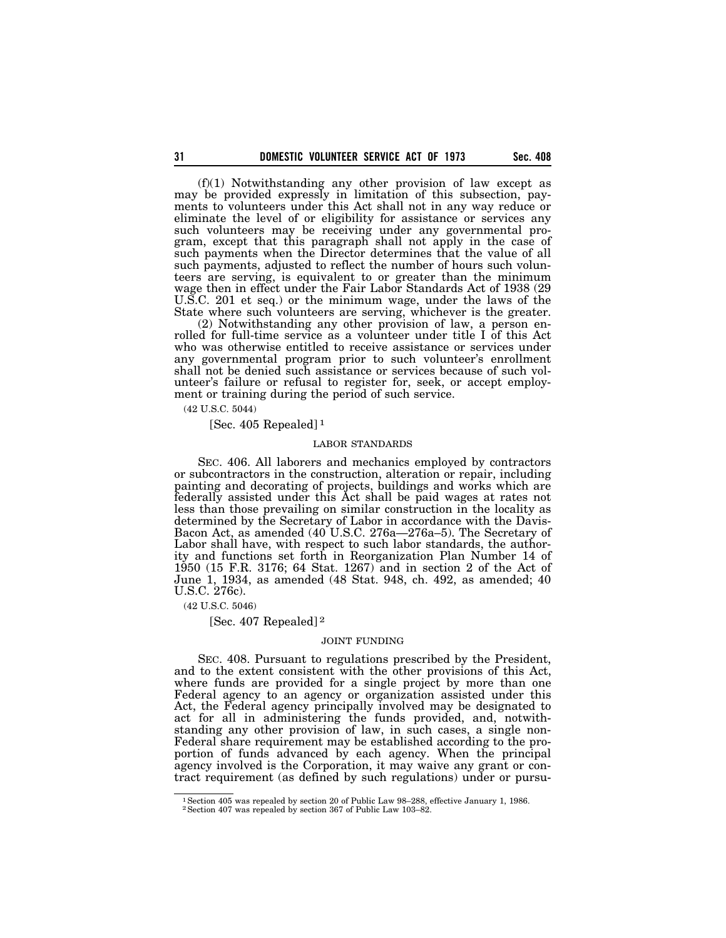(f)(1) Notwithstanding any other provision of law except as may be provided expressly in limitation of this subsection, payments to volunteers under this Act shall not in any way reduce or eliminate the level of or eligibility for assistance or services any such volunteers may be receiving under any governmental program, except that this paragraph shall not apply in the case of such payments when the Director determines that the value of all such payments, adjusted to reflect the number of hours such volunteers are serving, is equivalent to or greater than the minimum wage then in effect under the Fair Labor Standards Act of 1938 (29 U.S.C. 201 et seq.) or the minimum wage, under the laws of the State where such volunteers are serving, whichever is the greater.

(2) Notwithstanding any other provision of law, a person enrolled for full-time service as a volunteer under title I of this Act who was otherwise entitled to receive assistance or services under any governmental program prior to such volunteer's enrollment shall not be denied such assistance or services because of such volunteer's failure or refusal to register for, seek, or accept employment or training during the period of such service.

(42 U.S.C. 5044)

[Sec. 405 Repealed] 1

### LABOR STANDARDS

SEC. 406. All laborers and mechanics employed by contractors or subcontractors in the construction, alteration or repair, including painting and decorating of projects, buildings and works which are federally assisted under this Act shall be paid wages at rates not less than those prevailing on similar construction in the locality as determined by the Secretary of Labor in accordance with the Davis-Bacon Act, as amended (40 U.S.C. 276a—276a–5). The Secretary of Labor shall have, with respect to such labor standards, the authority and functions set forth in Reorganization Plan Number 14 of 1950 (15 F.R. 3176; 64 Stat. 1267) and in section 2 of the Act of June 1, 1934, as amended (48 Stat. 948, ch. 492, as amended; 40 U.S.C. 276c).

(42 U.S.C. 5046)

[Sec. 407 Repealed] 2

#### JOINT FUNDING

SEC. 408. Pursuant to regulations prescribed by the President, and to the extent consistent with the other provisions of this Act, where funds are provided for a single project by more than one Federal agency to an agency or organization assisted under this Act, the Federal agency principally involved may be designated to act for all in administering the funds provided, and, notwithstanding any other provision of law, in such cases, a single non-Federal share requirement may be established according to the proportion of funds advanced by each agency. When the principal agency involved is the Corporation, it may waive any grant or contract requirement (as defined by such regulations) under or pursu-

<sup>&</sup>lt;sup>1</sup> Section 405 was repealed by section 20 of Public Law 98–288, effective January 1, 1986.

<sup>2</sup>Section 407 was repealed by section 367 of Public Law 103–82.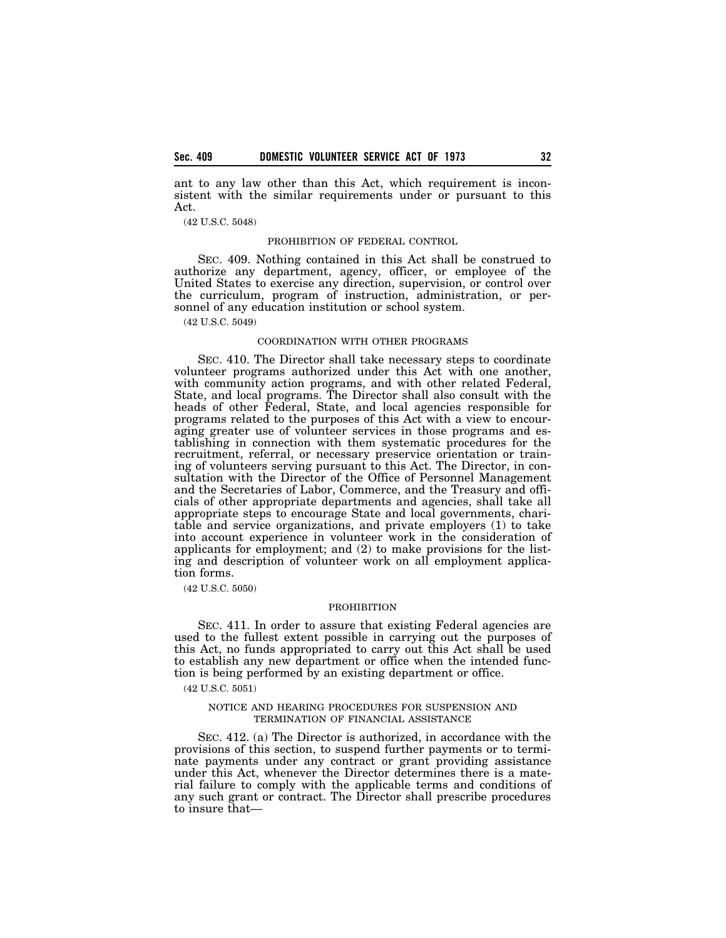ant to any law other than this Act, which requirement is inconsistent with the similar requirements under or pursuant to this Act.

### (42 U.S.C. 5048)

### PROHIBITION OF FEDERAL CONTROL

SEC. 409. Nothing contained in this Act shall be construed to authorize any department, agency, officer, or employee of the United States to exercise any direction, supervision, or control over the curriculum, program of instruction, administration, or personnel of any education institution or school system.

(42 U.S.C. 5049)

### COORDINATION WITH OTHER PROGRAMS

SEC. 410. The Director shall take necessary steps to coordinate volunteer programs authorized under this Act with one another, with community action programs, and with other related Federal, State, and local programs. The Director shall also consult with the heads of other Federal, State, and local agencies responsible for programs related to the purposes of this Act with a view to encouraging greater use of volunteer services in those programs and establishing in connection with them systematic procedures for the recruitment, referral, or necessary preservice orientation or training of volunteers serving pursuant to this Act. The Director, in consultation with the Director of the Office of Personnel Management and the Secretaries of Labor, Commerce, and the Treasury and officials of other appropriate departments and agencies, shall take all appropriate steps to encourage State and local governments, charitable and service organizations, and private employers (1) to take into account experience in volunteer work in the consideration of applicants for employment; and (2) to make provisions for the listing and description of volunteer work on all employment application forms.

(42 U.S.C. 5050)

### PROHIBITION

SEC. 411. In order to assure that existing Federal agencies are used to the fullest extent possible in carrying out the purposes of this Act, no funds appropriated to carry out this Act shall be used to establish any new department or office when the intended function is being performed by an existing department or office.

(42 U.S.C. 5051)

#### NOTICE AND HEARING PROCEDURES FOR SUSPENSION AND TERMINATION OF FINANCIAL ASSISTANCE

SEC. 412. (a) The Director is authorized, in accordance with the provisions of this section, to suspend further payments or to terminate payments under any contract or grant providing assistance under this Act, whenever the Director determines there is a material failure to comply with the applicable terms and conditions of any such grant or contract. The Director shall prescribe procedures to insure that—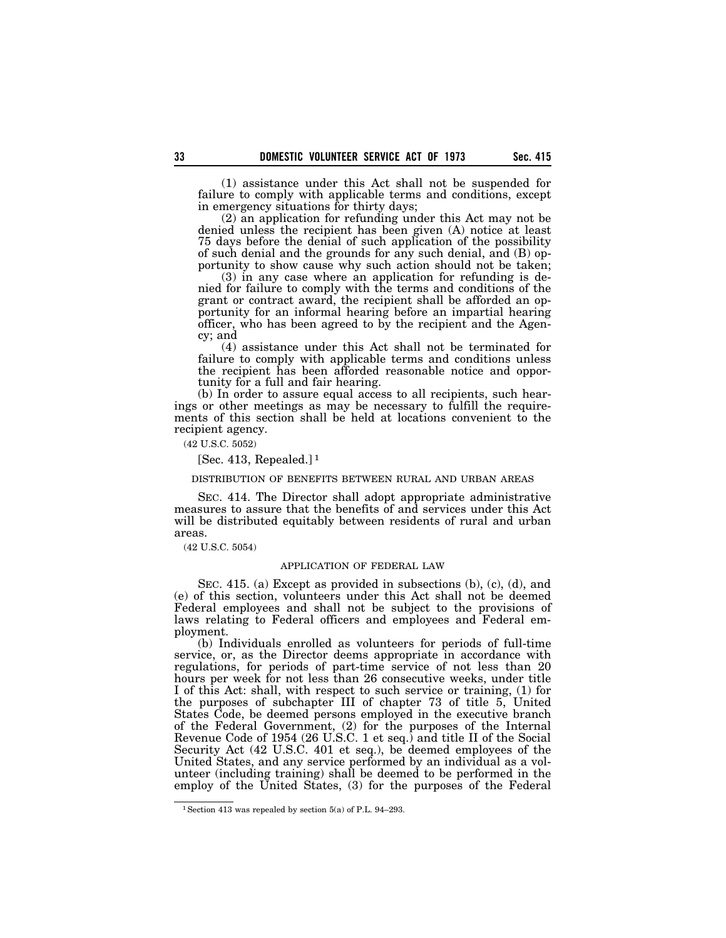(1) assistance under this Act shall not be suspended for failure to comply with applicable terms and conditions, except in emergency situations for thirty days;

(2) an application for refunding under this Act may not be denied unless the recipient has been given (A) notice at least 75 days before the denial of such application of the possibility of such denial and the grounds for any such denial, and (B) opportunity to show cause why such action should not be taken;

(3) in any case where an application for refunding is denied for failure to comply with the terms and conditions of the grant or contract award, the recipient shall be afforded an opportunity for an informal hearing before an impartial hearing officer, who has been agreed to by the recipient and the Agency; and

(4) assistance under this Act shall not be terminated for failure to comply with applicable terms and conditions unless the recipient has been afforded reasonable notice and opportunity for a full and fair hearing.

(b) In order to assure equal access to all recipients, such hearings or other meetings as may be necessary to fulfill the requirements of this section shall be held at locations convenient to the recipient agency.

(42 U.S.C. 5052)

[Sec. 413, Repealed.]<sup>1</sup>

### DISTRIBUTION OF BENEFITS BETWEEN RURAL AND URBAN AREAS

SEC. 414. The Director shall adopt appropriate administrative measures to assure that the benefits of and services under this Act will be distributed equitably between residents of rural and urban areas.

(42 U.S.C. 5054)

## APPLICATION OF FEDERAL LAW

SEC. 415. (a) Except as provided in subsections (b), (c), (d), and (e) of this section, volunteers under this Act shall not be deemed Federal employees and shall not be subject to the provisions of laws relating to Federal officers and employees and Federal employment.

(b) Individuals enrolled as volunteers for periods of full-time service, or, as the Director deems appropriate in accordance with regulations, for periods of part-time service of not less than 20 hours per week for not less than 26 consecutive weeks, under title I of this Act: shall, with respect to such service or training, (1) for the purposes of subchapter III of chapter 73 of title 5, United States Code, be deemed persons employed in the executive branch of the Federal Government, (2) for the purposes of the Internal Revenue Code of 1954 (26 U.S.C. 1 et seq.) and title II of the Social Security Act (42 U.S.C. 401 et seq.), be deemed employees of the United States, and any service performed by an individual as a volunteer (including training) shall be deemed to be performed in the employ of the United States, (3) for the purposes of the Federal

<sup>1</sup>Section 413 was repealed by section 5(a) of P.L. 94–293.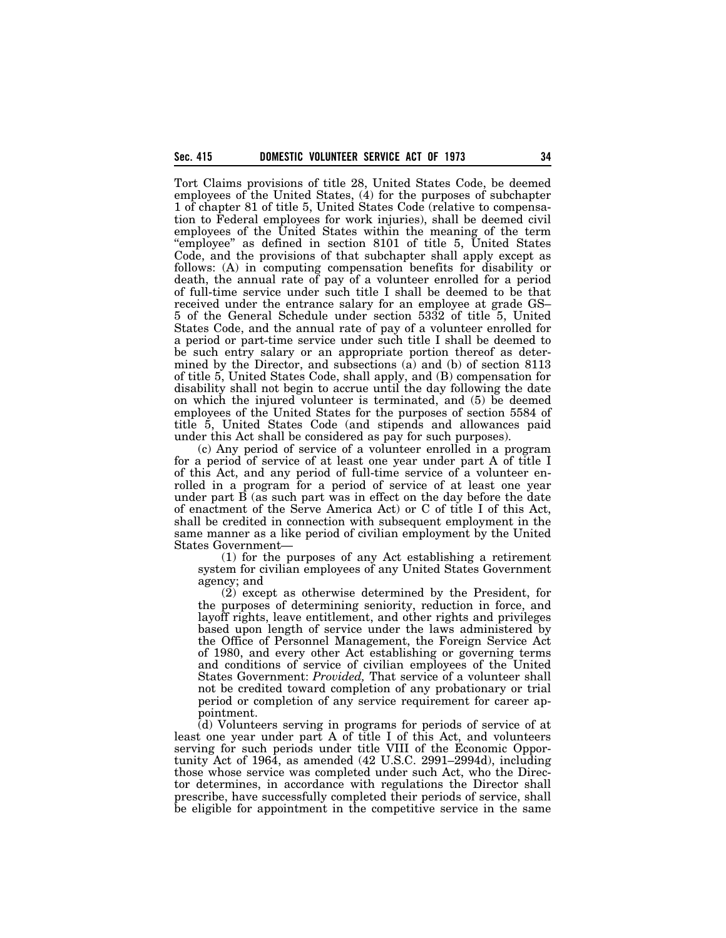Tort Claims provisions of title 28, United States Code, be deemed employees of the United States, (4) for the purposes of subchapter 1 of chapter 81 of title 5, United States Code (relative to compensation to Federal employees for work injuries), shall be deemed civil employees of the United States within the meaning of the term ''employee'' as defined in section 8101 of title 5, United States Code, and the provisions of that subchapter shall apply except as follows: (A) in computing compensation benefits for disability or death, the annual rate of pay of a volunteer enrolled for a period of full-time service under such title I shall be deemed to be that received under the entrance salary for an employee at grade GS– 5 of the General Schedule under section 5332 of title 5, United States Code, and the annual rate of pay of a volunteer enrolled for a period or part-time service under such title I shall be deemed to be such entry salary or an appropriate portion thereof as determined by the Director, and subsections (a) and (b) of section 8113 of title 5, United States Code, shall apply, and (B) compensation for disability shall not begin to accrue until the day following the date on which the injured volunteer is terminated, and (5) be deemed employees of the United States for the purposes of section 5584 of title 5, United States Code (and stipends and allowances paid under this Act shall be considered as pay for such purposes).

(c) Any period of service of a volunteer enrolled in a program for a period of service of at least one year under part A of title I of this Act, and any period of full-time service of a volunteer enrolled in a program for a period of service of at least one year under part  $\overline{B}$  (as such part was in effect on the day before the date of enactment of the Serve America Act) or C of title I of this Act, shall be credited in connection with subsequent employment in the same manner as a like period of civilian employment by the United States Government—

(1) for the purposes of any Act establishing a retirement system for civilian employees of any United States Government agency; and

(2) except as otherwise determined by the President, for the purposes of determining seniority, reduction in force, and layoff rights, leave entitlement, and other rights and privileges based upon length of service under the laws administered by the Office of Personnel Management, the Foreign Service Act of 1980, and every other Act establishing or governing terms and conditions of service of civilian employees of the United States Government: *Provided,* That service of a volunteer shall not be credited toward completion of any probationary or trial period or completion of any service requirement for career appointment.

(d) Volunteers serving in programs for periods of service of at least one year under part A of title I of this Act, and volunteers serving for such periods under title VIII of the Economic Opportunity Act of 1964, as amended (42 U.S.C. 2991–2994d), including those whose service was completed under such Act, who the Director determines, in accordance with regulations the Director shall prescribe, have successfully completed their periods of service, shall be eligible for appointment in the competitive service in the same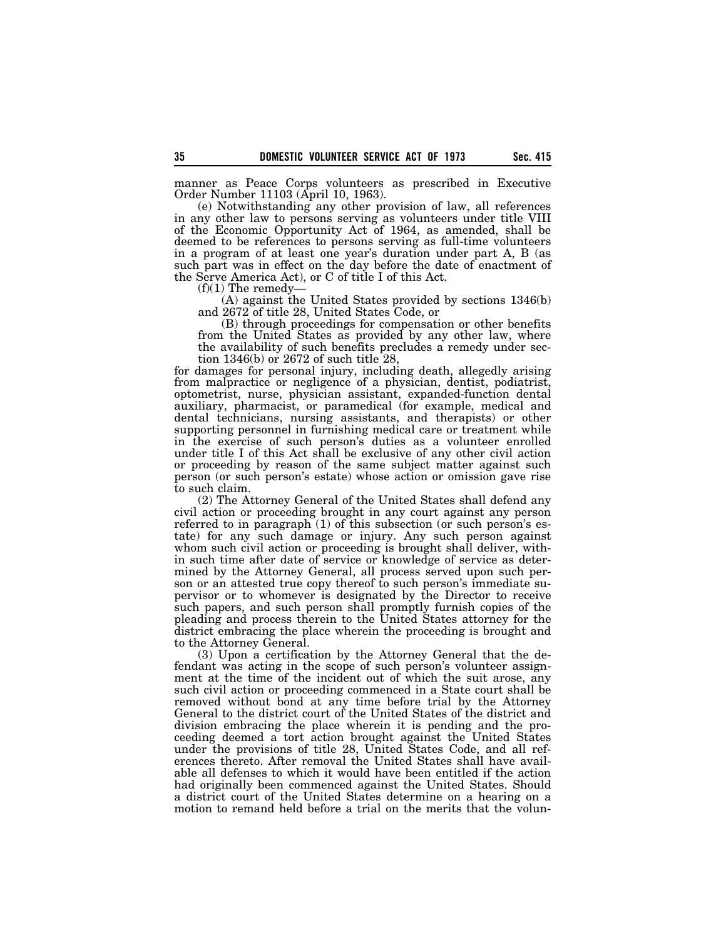manner as Peace Corps volunteers as prescribed in Executive Order Number 11103 (April 10, 1963).

(e) Notwithstanding any other provision of law, all references in any other law to persons serving as volunteers under title VIII of the Economic Opportunity Act of 1964, as amended, shall be deemed to be references to persons serving as full-time volunteers in a program of at least one year's duration under part A, B (as such part was in effect on the day before the date of enactment of the Serve America Act), or C of title I of this Act.

 $(f)(1)$  The remedy-

(A) against the United States provided by sections 1346(b) and 2672 of title 28, United States Code, or

(B) through proceedings for compensation or other benefits from the United States as provided by any other law, where the availability of such benefits precludes a remedy under section 1346(b) or 2672 of such title 28,

for damages for personal injury, including death, allegedly arising from malpractice or negligence of a physician, dentist, podiatrist, optometrist, nurse, physician assistant, expanded-function dental auxiliary, pharmacist, or paramedical (for example, medical and dental technicians, nursing assistants, and therapists) or other supporting personnel in furnishing medical care or treatment while in the exercise of such person's duties as a volunteer enrolled under title I of this Act shall be exclusive of any other civil action or proceeding by reason of the same subject matter against such person (or such person's estate) whose action or omission gave rise to such claim.

(2) The Attorney General of the United States shall defend any civil action or proceeding brought in any court against any person referred to in paragraph (1) of this subsection (or such person's estate) for any such damage or injury. Any such person against whom such civil action or proceeding is brought shall deliver, within such time after date of service or knowledge of service as determined by the Attorney General, all process served upon such person or an attested true copy thereof to such person's immediate supervisor or to whomever is designated by the Director to receive such papers, and such person shall promptly furnish copies of the pleading and process therein to the United States attorney for the district embracing the place wherein the proceeding is brought and to the Attorney General.

(3) Upon a certification by the Attorney General that the defendant was acting in the scope of such person's volunteer assignment at the time of the incident out of which the suit arose, any such civil action or proceeding commenced in a State court shall be removed without bond at any time before trial by the Attorney General to the district court of the United States of the district and division embracing the place wherein it is pending and the proceeding deemed a tort action brought against the United States under the provisions of title 28, United States Code, and all references thereto. After removal the United States shall have available all defenses to which it would have been entitled if the action had originally been commenced against the United States. Should a district court of the United States determine on a hearing on a motion to remand held before a trial on the merits that the volun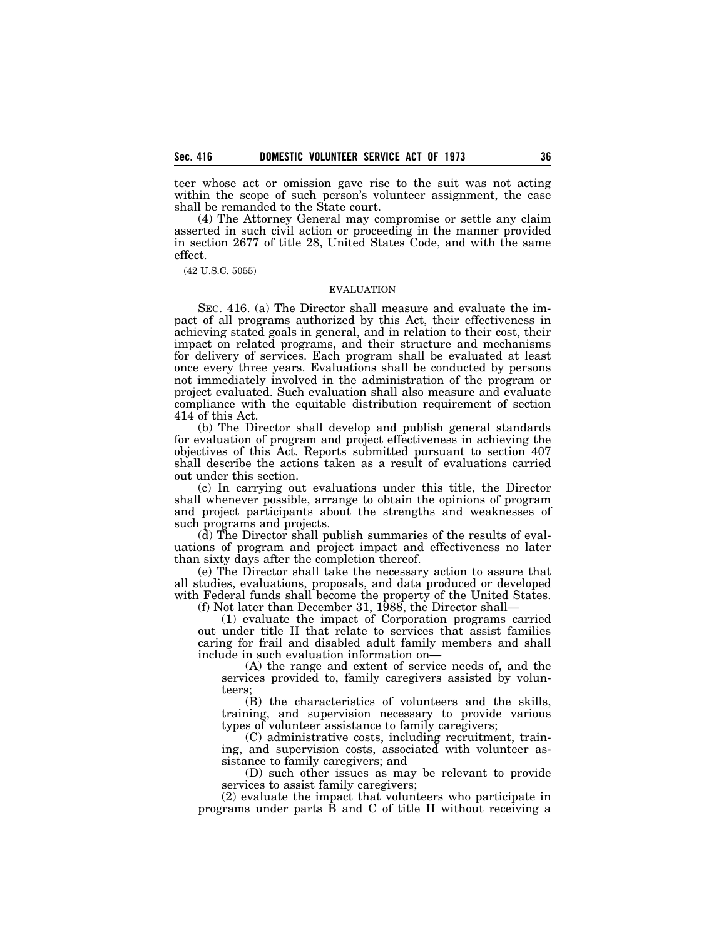teer whose act or omission gave rise to the suit was not acting within the scope of such person's volunteer assignment, the case shall be remanded to the State court.

(4) The Attorney General may compromise or settle any claim asserted in such civil action or proceeding in the manner provided in section 2677 of title 28, United States Code, and with the same effect.

(42 U.S.C. 5055)

#### EVALUATION

SEC. 416. (a) The Director shall measure and evaluate the impact of all programs authorized by this Act, their effectiveness in achieving stated goals in general, and in relation to their cost, their impact on related programs, and their structure and mechanisms for delivery of services. Each program shall be evaluated at least once every three years. Evaluations shall be conducted by persons not immediately involved in the administration of the program or project evaluated. Such evaluation shall also measure and evaluate compliance with the equitable distribution requirement of section 414 of this Act.

(b) The Director shall develop and publish general standards for evaluation of program and project effectiveness in achieving the objectives of this Act. Reports submitted pursuant to section 407 shall describe the actions taken as a result of evaluations carried out under this section.

(c) In carrying out evaluations under this title, the Director shall whenever possible, arrange to obtain the opinions of program and project participants about the strengths and weaknesses of such programs and projects.

(d) The Director shall publish summaries of the results of evaluations of program and project impact and effectiveness no later than sixty days after the completion thereof.

(e) The Director shall take the necessary action to assure that all studies, evaluations, proposals, and data produced or developed with Federal funds shall become the property of the United States. (f) Not later than December 31, 1988, the Director shall—

(1) evaluate the impact of Corporation programs carried out under title II that relate to services that assist families caring for frail and disabled adult family members and shall include in such evaluation information on—

(A) the range and extent of service needs of, and the services provided to, family caregivers assisted by volunteers;

(B) the characteristics of volunteers and the skills, training, and supervision necessary to provide various types of volunteer assistance to family caregivers;

(C) administrative costs, including recruitment, training, and supervision costs, associated with volunteer assistance to family caregivers; and

(D) such other issues as may be relevant to provide services to assist family caregivers;

(2) evaluate the impact that volunteers who participate in programs under parts B and C of title II without receiving a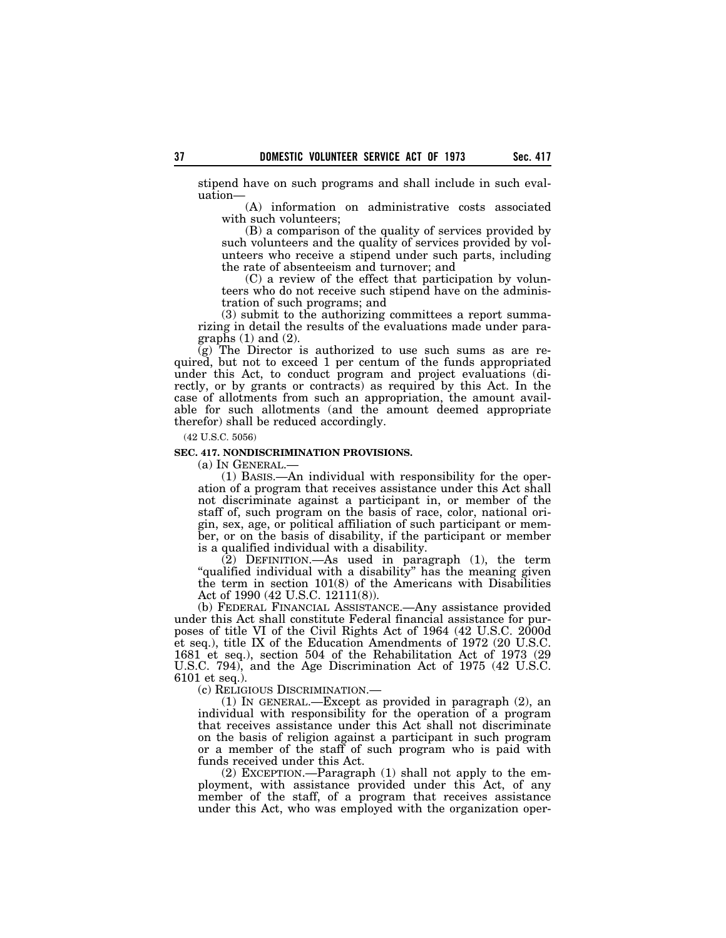stipend have on such programs and shall include in such evaluation—

(A) information on administrative costs associated with such volunteers;

(B) a comparison of the quality of services provided by such volunteers and the quality of services provided by volunteers who receive a stipend under such parts, including the rate of absenteeism and turnover; and

(C) a review of the effect that participation by volunteers who do not receive such stipend have on the administration of such programs; and

(3) submit to the authorizing committees a report summarizing in detail the results of the evaluations made under paragraphs  $(1)$  and  $(2)$ .

(g) The Director is authorized to use such sums as are required, but not to exceed 1 per centum of the funds appropriated under this Act, to conduct program and project evaluations (directly, or by grants or contracts) as required by this Act. In the case of allotments from such an appropriation, the amount available for such allotments (and the amount deemed appropriate therefor) shall be reduced accordingly.

(42 U.S.C. 5056)

#### **SEC. 417. NONDISCRIMINATION PROVISIONS.**

(a) IN GENERAL.—

(1) BASIS.—An individual with responsibility for the operation of a program that receives assistance under this Act shall not discriminate against a participant in, or member of the staff of, such program on the basis of race, color, national origin, sex, age, or political affiliation of such participant or member, or on the basis of disability, if the participant or member is a qualified individual with a disability.

(2) DEFINITION.—As used in paragraph (1), the term "qualified individual with a disability" has the meaning given the term in section 101(8) of the Americans with Disabilities Act of 1990 (42 U.S.C. 12111(8)).

(b) FEDERAL FINANCIAL ASSISTANCE.—Any assistance provided under this Act shall constitute Federal financial assistance for purposes of title VI of the Civil Rights Act of 1964 (42 U.S.C. 2000d et seq.), title IX of the Education Amendments of 1972 (20 U.S.C. 1681 et seq.), section 504 of the Rehabilitation Act of 1973 (29 U.S.C. 794), and the Age Discrimination Act of 1975 (42 U.S.C. 6101 et seq.).

(c) RELIGIOUS DISCRIMINATION.—

(1) IN GENERAL.—Except as provided in paragraph (2), an individual with responsibility for the operation of a program that receives assistance under this Act shall not discriminate on the basis of religion against a participant in such program or a member of the staff of such program who is paid with funds received under this Act.

(2) EXCEPTION.—Paragraph (1) shall not apply to the employment, with assistance provided under this Act, of any member of the staff, of a program that receives assistance under this Act, who was employed with the organization oper-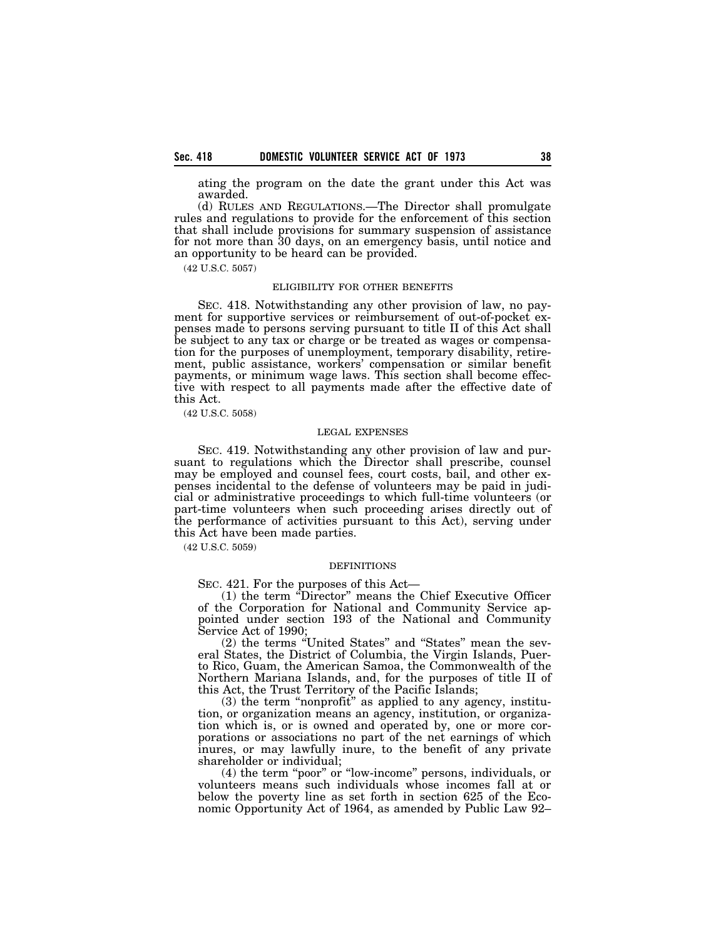ating the program on the date the grant under this Act was awarded.

(d) RULES AND REGULATIONS.—The Director shall promulgate rules and regulations to provide for the enforcement of this section that shall include provisions for summary suspension of assistance for not more than 30 days, on an emergency basis, until notice and an opportunity to be heard can be provided.

(42 U.S.C. 5057)

### ELIGIBILITY FOR OTHER BENEFITS

SEC. 418. Notwithstanding any other provision of law, no payment for supportive services or reimbursement of out-of-pocket expenses made to persons serving pursuant to title II of this Act shall be subject to any tax or charge or be treated as wages or compensation for the purposes of unemployment, temporary disability, retirement, public assistance, workers' compensation or similar benefit payments, or minimum wage laws. This section shall become effective with respect to all payments made after the effective date of this Act.

(42 U.S.C. 5058)

#### LEGAL EXPENSES

SEC. 419. Notwithstanding any other provision of law and pursuant to regulations which the Director shall prescribe, counsel may be employed and counsel fees, court costs, bail, and other expenses incidental to the defense of volunteers may be paid in judicial or administrative proceedings to which full-time volunteers (or part-time volunteers when such proceeding arises directly out of the performance of activities pursuant to this Act), serving under this Act have been made parties.

(42 U.S.C. 5059)

#### DEFINITIONS

SEC. 421. For the purposes of this Act—

(1) the term ''Director'' means the Chief Executive Officer of the Corporation for National and Community Service appointed under section 193 of the National and Community Service Act of 1990;

(2) the terms ''United States'' and ''States'' mean the several States, the District of Columbia, the Virgin Islands, Puerto Rico, Guam, the American Samoa, the Commonwealth of the Northern Mariana Islands, and, for the purposes of title II of this Act, the Trust Territory of the Pacific Islands;

 $(3)$  the term "nonprofit" as applied to any agency, institution, or organization means an agency, institution, or organization which is, or is owned and operated by, one or more corporations or associations no part of the net earnings of which inures, or may lawfully inure, to the benefit of any private shareholder or individual;

(4) the term ''poor'' or ''low-income'' persons, individuals, or volunteers means such individuals whose incomes fall at or below the poverty line as set forth in section 625 of the Economic Opportunity Act of 1964, as amended by Public Law 92–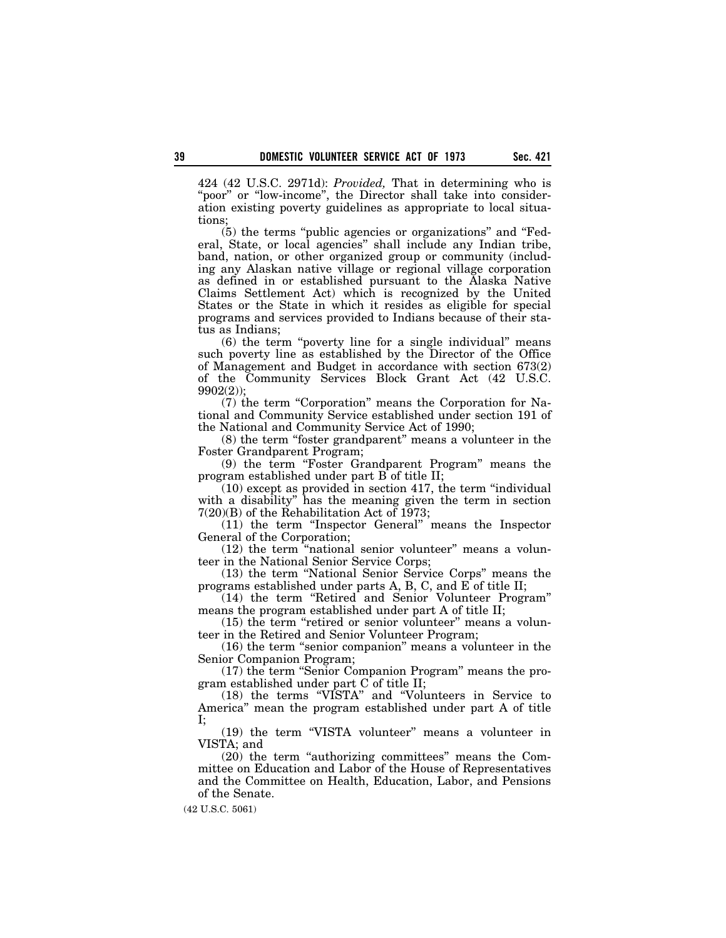424 (42 U.S.C. 2971d): *Provided,* That in determining who is "poor" or "low-income", the Director shall take into consideration existing poverty guidelines as appropriate to local situations;

(5) the terms ''public agencies or organizations'' and ''Federal, State, or local agencies'' shall include any Indian tribe, band, nation, or other organized group or community (including any Alaskan native village or regional village corporation as defined in or established pursuant to the Alaska Native Claims Settlement Act) which is recognized by the United States or the State in which it resides as eligible for special programs and services provided to Indians because of their status as Indians;

(6) the term ''poverty line for a single individual'' means such poverty line as established by the Director of the Office of Management and Budget in accordance with section 673(2) of the Community Services Block Grant Act (42 U.S.C. 9902(2));

(7) the term ''Corporation'' means the Corporation for National and Community Service established under section 191 of the National and Community Service Act of 1990;

(8) the term ''foster grandparent'' means a volunteer in the Foster Grandparent Program;

(9) the term ''Foster Grandparent Program'' means the program established under part B of title II;

 $(10)$  except as provided in section 417, the term "individual with a disability'' has the meaning given the term in section 7(20)(B) of the Rehabilitation Act of 1973;

(11) the term ''Inspector General'' means the Inspector General of the Corporation;

(12) the term ''national senior volunteer'' means a volunteer in the National Senior Service Corps;

(13) the term ''National Senior Service Corps'' means the programs established under parts A, B, C, and  $\vec{E}$  of title II;

(14) the term ''Retired and Senior Volunteer Program'' means the program established under part A of title II;

 $(15)$  the term "retired or senior volunteer" means a volunteer in the Retired and Senior Volunteer Program;

(16) the term ''senior companion'' means a volunteer in the Senior Companion Program;

(17) the term ''Senior Companion Program'' means the program established under part C of title II;

(18) the terms ''VISTA'' and ''Volunteers in Service to America'' mean the program established under part A of title I;

(19) the term "VISTA volunteer" means a volunteer in VISTA; and

(20) the term "authorizing committees" means the Committee on Education and Labor of the House of Representatives and the Committee on Health, Education, Labor, and Pensions of the Senate.

(42 U.S.C. 5061)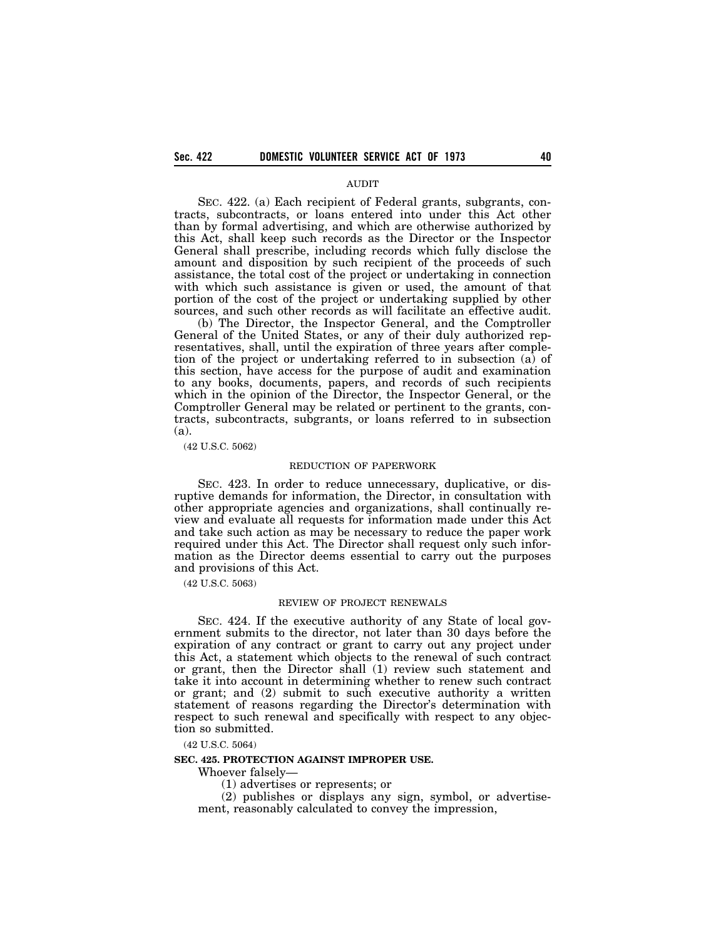### AUDIT

SEC. 422. (a) Each recipient of Federal grants, subgrants, contracts, subcontracts, or loans entered into under this Act other than by formal advertising, and which are otherwise authorized by this Act, shall keep such records as the Director or the Inspector General shall prescribe, including records which fully disclose the amount and disposition by such recipient of the proceeds of such assistance, the total cost of the project or undertaking in connection with which such assistance is given or used, the amount of that portion of the cost of the project or undertaking supplied by other sources, and such other records as will facilitate an effective audit.

(b) The Director, the Inspector General, and the Comptroller General of the United States, or any of their duly authorized representatives, shall, until the expiration of three years after completion of the project or undertaking referred to in subsection (a) of this section, have access for the purpose of audit and examination to any books, documents, papers, and records of such recipients which in the opinion of the Director, the Inspector General, or the Comptroller General may be related or pertinent to the grants, contracts, subcontracts, subgrants, or loans referred to in subsection (a).

(42 U.S.C. 5062)

### REDUCTION OF PAPERWORK

SEC. 423. In order to reduce unnecessary, duplicative, or disruptive demands for information, the Director, in consultation with other appropriate agencies and organizations, shall continually review and evaluate all requests for information made under this Act and take such action as may be necessary to reduce the paper work required under this Act. The Director shall request only such information as the Director deems essential to carry out the purposes and provisions of this Act.

(42 U.S.C. 5063)

#### REVIEW OF PROJECT RENEWALS

SEC. 424. If the executive authority of any State of local government submits to the director, not later than 30 days before the expiration of any contract or grant to carry out any project under this Act, a statement which objects to the renewal of such contract or grant, then the Director shall (1) review such statement and take it into account in determining whether to renew such contract or grant; and (2) submit to such executive authority a written statement of reasons regarding the Director's determination with respect to such renewal and specifically with respect to any objection so submitted.

(42 U.S.C. 5064)

#### **SEC. 425. PROTECTION AGAINST IMPROPER USE.**

Whoever falsely—

(1) advertises or represents; or

(2) publishes or displays any sign, symbol, or advertisement, reasonably calculated to convey the impression,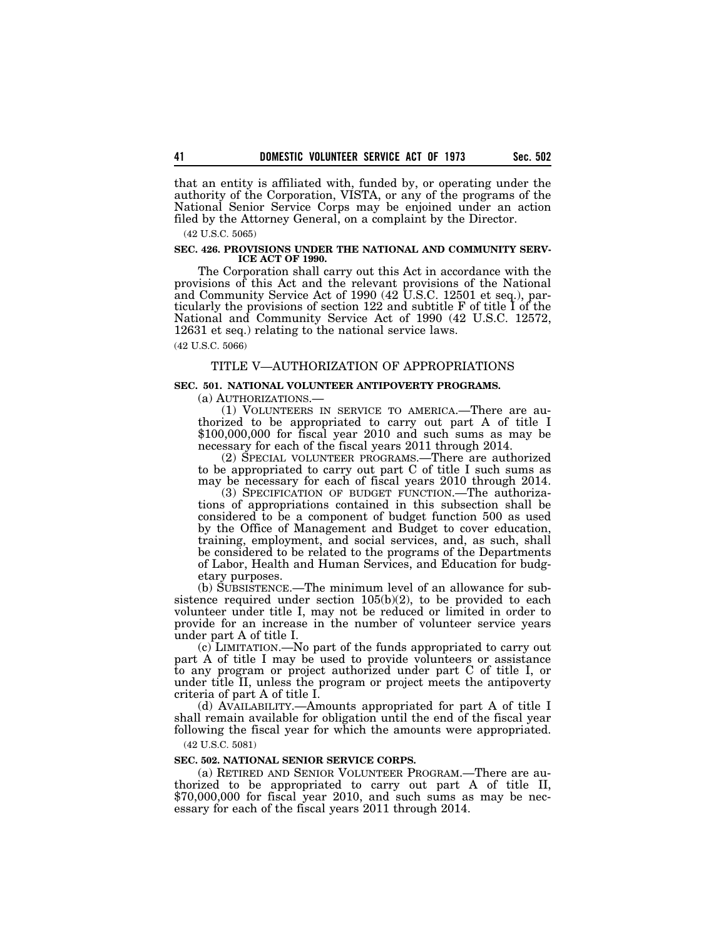that an entity is affiliated with, funded by, or operating under the authority of the Corporation, VISTA, or any of the programs of the National Senior Service Corps may be enjoined under an action filed by the Attorney General, on a complaint by the Director.

(42 U.S.C. 5065)

#### **SEC. 426. PROVISIONS UNDER THE NATIONAL AND COMMUNITY SERV-ICE ACT OF 1990.**

The Corporation shall carry out this Act in accordance with the provisions of this Act and the relevant provisions of the National and Community Service Act of 1990 (42 U.S.C. 12501 et seq.), particularly the provisions of section 122 and subtitle F of title I of the National and Community Service Act of 1990 (42 U.S.C. 12572, 12631 et seq.) relating to the national service laws.

(42 U.S.C. 5066)

## TITLE V—AUTHORIZATION OF APPROPRIATIONS

## **SEC. 501. NATIONAL VOLUNTEER ANTIPOVERTY PROGRAMS.**

(a) AUTHORIZATIONS.—

(1) VOLUNTEERS IN SERVICE TO AMERICA.—There are authorized to be appropriated to carry out part A of title I \$100,000,000 for fiscal year 2010 and such sums as may be necessary for each of the fiscal years 2011 through 2014.

(2) SPECIAL VOLUNTEER PROGRAMS.—There are authorized to be appropriated to carry out part C of title I such sums as may be necessary for each of fiscal years 2010 through 2014.

(3) SPECIFICATION OF BUDGET FUNCTION.—The authorizations of appropriations contained in this subsection shall be considered to be a component of budget function 500 as used by the Office of Management and Budget to cover education, training, employment, and social services, and, as such, shall be considered to be related to the programs of the Departments of Labor, Health and Human Services, and Education for budgetary purposes.

(b) SUBSISTENCE.—The minimum level of an allowance for subsistence required under section  $105(b)(2)$ , to be provided to each volunteer under title I, may not be reduced or limited in order to provide for an increase in the number of volunteer service years under part A of title I.

(c) LIMITATION.—No part of the funds appropriated to carry out part A of title I may be used to provide volunteers or assistance to any program or project authorized under part C of title I, or under title II, unless the program or project meets the antipoverty criteria of part A of title I.

(d) AVAILABILITY.—Amounts appropriated for part A of title I shall remain available for obligation until the end of the fiscal year following the fiscal year for which the amounts were appropriated. (42 U.S.C. 5081)

## **SEC. 502. NATIONAL SENIOR SERVICE CORPS.**

(a) RETIRED AND SENIOR VOLUNTEER PROGRAM.—There are authorized to be appropriated to carry out part A of title II, \$70,000,000 for fiscal year 2010, and such sums as may be necessary for each of the fiscal years 2011 through 2014.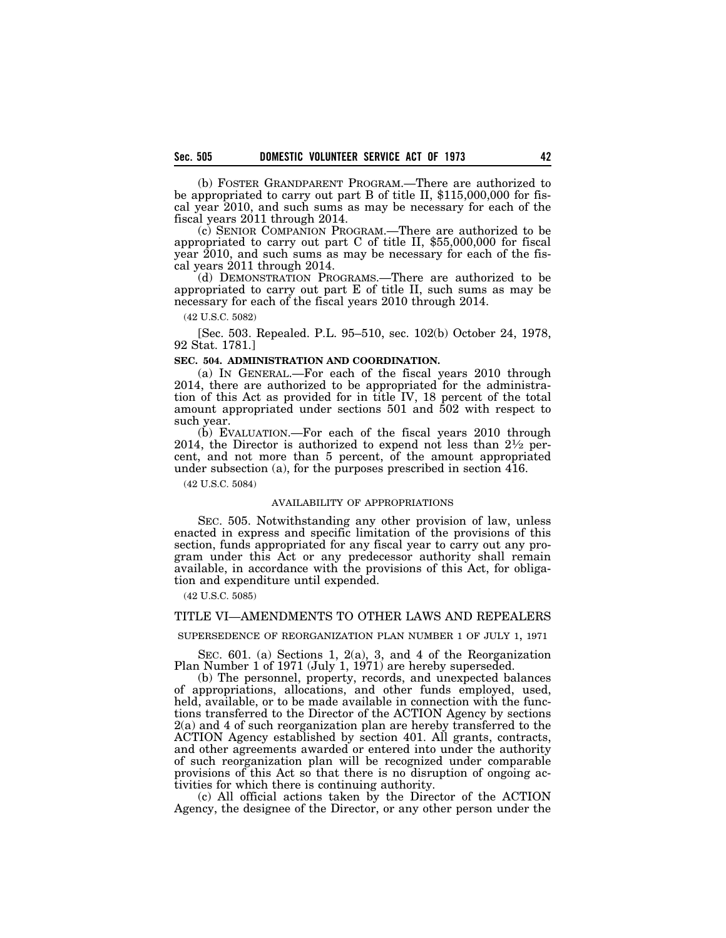(b) FOSTER GRANDPARENT PROGRAM.—There are authorized to be appropriated to carry out part B of title II, \$115,000,000 for fiscal year 2010, and such sums as may be necessary for each of the fiscal years 2011 through 2014.

(c) SENIOR COMPANION PROGRAM.—There are authorized to be appropriated to carry out part C of title II, \$55,000,000 for fiscal year 2010, and such sums as may be necessary for each of the fiscal years 2011 through 2014.

(d) DEMONSTRATION PROGRAMS.—There are authorized to be appropriated to carry out part E of title II, such sums as may be necessary for each of the fiscal years 2010 through 2014.

(42 U.S.C. 5082)

[Sec. 503. Repealed. P.L. 95–510, sec. 102(b) October 24, 1978, 92 Stat. 1781.]

# **SEC. 504. ADMINISTRATION AND COORDINATION.**

(a) IN GENERAL.—For each of the fiscal years 2010 through 2014, there are authorized to be appropriated for the administration of this Act as provided for in title IV, 18 percent of the total amount appropriated under sections 501 and 502 with respect to such year.

(b) EVALUATION.—For each of the fiscal years 2010 through 2014, the Director is authorized to expend not less than  $2\frac{1}{2}$  percent, and not more than 5 percent, of the amount appropriated under subsection (a), for the purposes prescribed in section 416.

(42 U.S.C. 5084)

### AVAILABILITY OF APPROPRIATIONS

SEC. 505. Notwithstanding any other provision of law, unless enacted in express and specific limitation of the provisions of this section, funds appropriated for any fiscal year to carry out any program under this Act or any predecessor authority shall remain available, in accordance with the provisions of this Act, for obligation and expenditure until expended.

(42 U.S.C. 5085)

### TITLE VI—AMENDMENTS TO OTHER LAWS AND REPEALERS

SUPERSEDENCE OF REORGANIZATION PLAN NUMBER 1 OF JULY 1, 1971

SEC. 601. (a) Sections 1, 2(a), 3, and 4 of the Reorganization Plan Number 1 of 1971 (July 1, 1971) are hereby superseded.

(b) The personnel, property, records, and unexpected balances of appropriations, allocations, and other funds employed, used, held, available, or to be made available in connection with the functions transferred to the Director of the ACTION Agency by sections 2(a) and 4 of such reorganization plan are hereby transferred to the ACTION Agency established by section 401. All grants, contracts, and other agreements awarded or entered into under the authority of such reorganization plan will be recognized under comparable provisions of this Act so that there is no disruption of ongoing activities for which there is continuing authority.

(c) All official actions taken by the Director of the ACTION Agency, the designee of the Director, or any other person under the